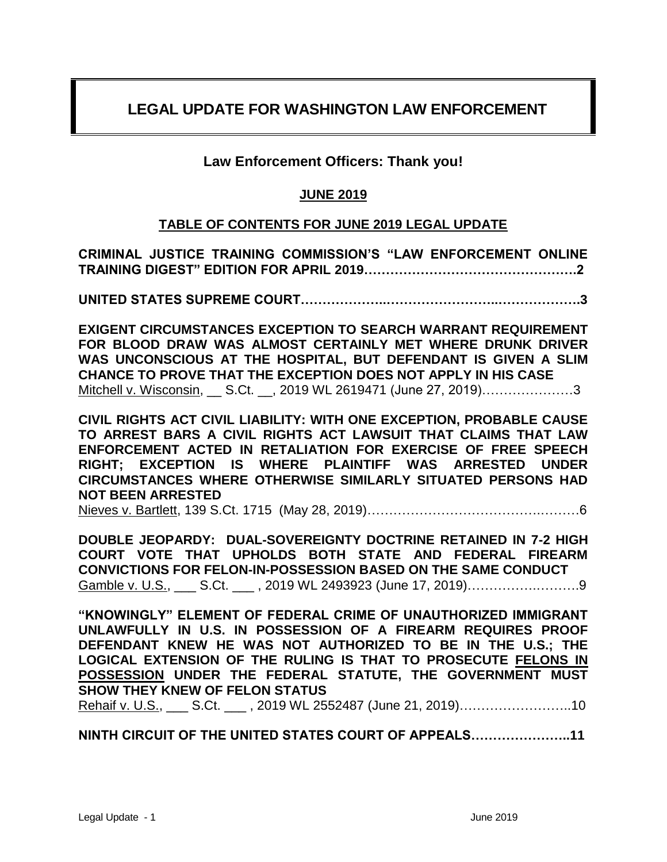# **LEGAL UPDATE FOR WASHINGTON LAW ENFORCEMENT**

# **Law Enforcement Officers: Thank you!**

# **JUNE 2019**

# **TABLE OF CONTENTS FOR JUNE 2019 LEGAL UPDATE**

**CRIMINAL JUSTICE TRAINING COMMISSION'S "LAW ENFORCEMENT ONLINE TRAINING DIGEST" EDITION FOR APRIL 2019………………………………………….2**

**UNITED STATES SUPREME COURT………………..……………………..……………….3**

**EXIGENT CIRCUMSTANCES EXCEPTION TO SEARCH WARRANT REQUIREMENT FOR BLOOD DRAW WAS ALMOST CERTAINLY MET WHERE DRUNK DRIVER WAS UNCONSCIOUS AT THE HOSPITAL, BUT DEFENDANT IS GIVEN A SLIM CHANCE TO PROVE THAT THE EXCEPTION DOES NOT APPLY IN HIS CASE** Mitchell v. Wisconsin, \_\_ S.Ct. \_\_, 2019 WL 2619471 (June 27, 2019)……………………3

**CIVIL RIGHTS ACT CIVIL LIABILITY: WITH ONE EXCEPTION, PROBABLE CAUSE TO ARREST BARS A CIVIL RIGHTS ACT LAWSUIT THAT CLAIMS THAT LAW ENFORCEMENT ACTED IN RETALIATION FOR EXERCISE OF FREE SPEECH RIGHT; EXCEPTION IS WHERE PLAINTIFF WAS ARRESTED UNDER CIRCUMSTANCES WHERE OTHERWISE SIMILARLY SITUATED PERSONS HAD NOT BEEN ARRESTED** 

Nieves v. Bartlett, 139 S.Ct. 1715 (May 28, 2019)………………………………….………6

**DOUBLE JEOPARDY: DUAL-SOVEREIGNTY DOCTRINE RETAINED IN 7-2 HIGH COURT VOTE THAT UPHOLDS BOTH STATE AND FEDERAL FIREARM CONVICTIONS FOR FELON-IN-POSSESSION BASED ON THE SAME CONDUCT**  Gamble v. U.S., \_\_\_ S.Ct. \_\_\_ , 2019 WL 2493923 (June 17, 2019)………………………........

**"KNOWINGLY" ELEMENT OF FEDERAL CRIME OF UNAUTHORIZED IMMIGRANT UNLAWFULLY IN U.S. IN POSSESSION OF A FIREARM REQUIRES PROOF DEFENDANT KNEW HE WAS NOT AUTHORIZED TO BE IN THE U.S.; THE LOGICAL EXTENSION OF THE RULING IS THAT TO PROSECUTE FELONS IN POSSESSION UNDER THE FEDERAL STATUTE, THE GOVERNMENT MUST SHOW THEY KNEW OF FELON STATUS** 

Rehaif v. U.S., \_\_\_ S.Ct. \_\_\_, 2019 WL 2552487 (June 21, 2019)……………………………10

**NINTH CIRCUIT OF THE UNITED STATES COURT OF APPEALS…………………..11**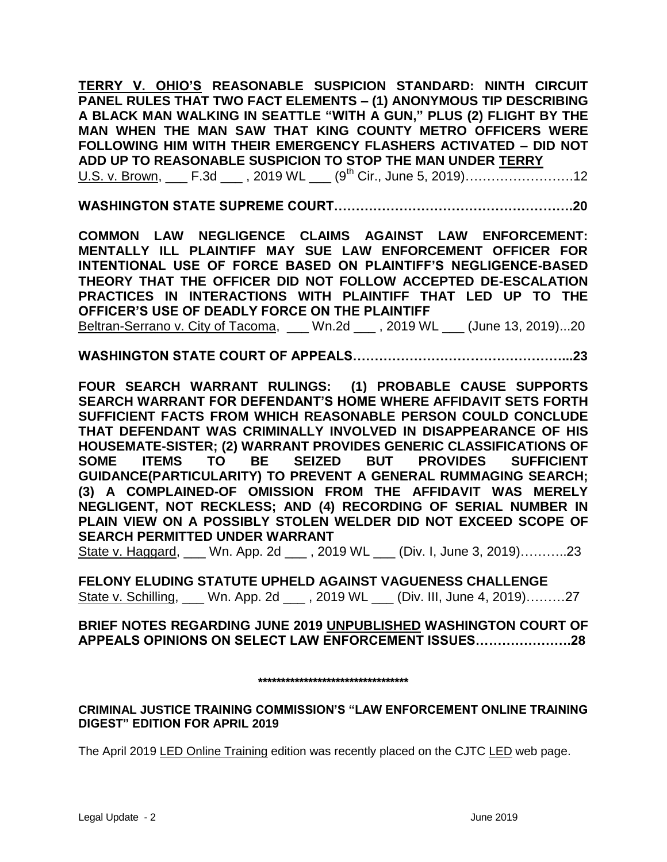**TERRY V. OHIO'S REASONABLE SUSPICION STANDARD: NINTH CIRCUIT PANEL RULES THAT TWO FACT ELEMENTS – (1) ANONYMOUS TIP DESCRIBING A BLACK MAN WALKING IN SEATTLE "WITH A GUN," PLUS (2) FLIGHT BY THE MAN WHEN THE MAN SAW THAT KING COUNTY METRO OFFICERS WERE FOLLOWING HIM WITH THEIR EMERGENCY FLASHERS ACTIVATED – DID NOT ADD UP TO REASONABLE SUSPICION TO STOP THE MAN UNDER TERRY**  U.S. v. Brown, \_\_\_ F.3d \_\_\_ , 2019 WL \_\_\_ (9<sup>th</sup> Cir., June 5, 2019)……………………………12

**WASHINGTON STATE SUPREME COURT……………………………………………….20**

**COMMON LAW NEGLIGENCE CLAIMS AGAINST LAW ENFORCEMENT: MENTALLY ILL PLAINTIFF MAY SUE LAW ENFORCEMENT OFFICER FOR INTENTIONAL USE OF FORCE BASED ON PLAINTIFF'S NEGLIGENCE-BASED THEORY THAT THE OFFICER DID NOT FOLLOW ACCEPTED DE-ESCALATION PRACTICES IN INTERACTIONS WITH PLAINTIFF THAT LED UP TO THE OFFICER'S USE OF DEADLY FORCE ON THE PLAINTIFF** Beltran-Serrano v. City of Tacoma, \_\_\_ Wn.2d \_\_\_ , 2019 WL \_\_\_ (June 13, 2019)...20

**WASHINGTON STATE COURT OF APPEALS…………………………………………...23**

**FOUR SEARCH WARRANT RULINGS: (1) PROBABLE CAUSE SUPPORTS SEARCH WARRANT FOR DEFENDANT'S HOME WHERE AFFIDAVIT SETS FORTH SUFFICIENT FACTS FROM WHICH REASONABLE PERSON COULD CONCLUDE THAT DEFENDANT WAS CRIMINALLY INVOLVED IN DISAPPEARANCE OF HIS HOUSEMATE-SISTER; (2) WARRANT PROVIDES GENERIC CLASSIFICATIONS OF SOME ITEMS TO BE SEIZED BUT PROVIDES SUFFICIENT GUIDANCE(PARTICULARITY) TO PREVENT A GENERAL RUMMAGING SEARCH; (3) A COMPLAINED-OF OMISSION FROM THE AFFIDAVIT WAS MERELY NEGLIGENT, NOT RECKLESS; AND (4) RECORDING OF SERIAL NUMBER IN PLAIN VIEW ON A POSSIBLY STOLEN WELDER DID NOT EXCEED SCOPE OF SEARCH PERMITTED UNDER WARRANT**

State v. Haggard, \_\_\_ Wn. App. 2d \_\_\_, 2019 WL \_\_\_ (Div. I, June 3, 2019)...........23

**FELONY ELUDING STATUTE UPHELD AGAINST VAGUENESS CHALLENGE** State v. Schilling, Wn. App. 2d \_\_\_ , 2019 WL \_\_\_ (Div. III, June 4, 2019)………27

**BRIEF NOTES REGARDING JUNE 2019 UNPUBLISHED WASHINGTON COURT OF APPEALS OPINIONS ON SELECT LAW ENFORCEMENT ISSUES………………….28**

### **\*\*\*\*\*\*\*\*\*\*\*\*\*\*\*\*\*\*\*\*\*\*\*\*\*\*\*\*\*\*\*\*\***

**CRIMINAL JUSTICE TRAINING COMMISSION'S "LAW ENFORCEMENT ONLINE TRAINING DIGEST" EDITION FOR APRIL 2019** 

The April 2019 LED Online Training edition was recently placed on the CJTC LED web page.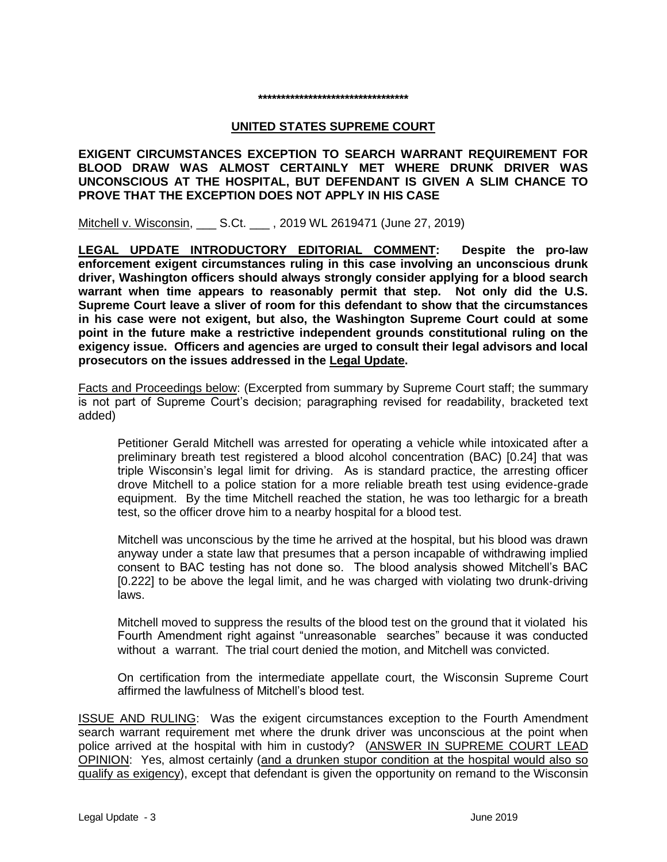# **\*\*\*\*\*\*\*\*\*\*\*\*\*\*\*\*\*\*\*\*\*\*\*\*\*\*\*\*\*\*\*\*\***

#### **UNITED STATES SUPREME COURT**

**EXIGENT CIRCUMSTANCES EXCEPTION TO SEARCH WARRANT REQUIREMENT FOR BLOOD DRAW WAS ALMOST CERTAINLY MET WHERE DRUNK DRIVER WAS UNCONSCIOUS AT THE HOSPITAL, BUT DEFENDANT IS GIVEN A SLIM CHANCE TO PROVE THAT THE EXCEPTION DOES NOT APPLY IN HIS CASE**

Mitchell v. Wisconsin, S.Ct. , 2019 WL 2619471 (June 27, 2019)

**LEGAL UPDATE INTRODUCTORY EDITORIAL COMMENT: Despite the pro-law enforcement exigent circumstances ruling in this case involving an unconscious drunk driver, Washington officers should always strongly consider applying for a blood search warrant when time appears to reasonably permit that step. Not only did the U.S. Supreme Court leave a sliver of room for this defendant to show that the circumstances in his case were not exigent, but also, the Washington Supreme Court could at some point in the future make a restrictive independent grounds constitutional ruling on the exigency issue. Officers and agencies are urged to consult their legal advisors and local prosecutors on the issues addressed in the Legal Update.**

Facts and Proceedings below: (Excerpted from summary by Supreme Court staff; the summary is not part of Supreme Court's decision; paragraphing revised for readability, bracketed text added)

Petitioner Gerald Mitchell was arrested for operating a vehicle while intoxicated after a preliminary breath test registered a blood alcohol concentration (BAC) [0.24] that was triple Wisconsin's legal limit for driving. As is standard practice, the arresting officer drove Mitchell to a police station for a more reliable breath test using evidence-grade equipment. By the time Mitchell reached the station, he was too lethargic for a breath test, so the officer drove him to a nearby hospital for a blood test.

Mitchell was unconscious by the time he arrived at the hospital, but his blood was drawn anyway under a state law that presumes that a person incapable of withdrawing implied consent to BAC testing has not done so. The blood analysis showed Mitchell's BAC [0.222] to be above the legal limit, and he was charged with violating two drunk-driving laws.

Mitchell moved to suppress the results of the blood test on the ground that it violated his Fourth Amendment right against "unreasonable searches" because it was conducted without a warrant. The trial court denied the motion, and Mitchell was convicted.

On certification from the intermediate appellate court, the Wisconsin Supreme Court affirmed the lawfulness of Mitchell's blood test.

ISSUE AND RULING: Was the exigent circumstances exception to the Fourth Amendment search warrant requirement met where the drunk driver was unconscious at the point when police arrived at the hospital with him in custody? (ANSWER IN SUPREME COURT LEAD OPINION: Yes, almost certainly (and a drunken stupor condition at the hospital would also so qualify as exigency), except that defendant is given the opportunity on remand to the Wisconsin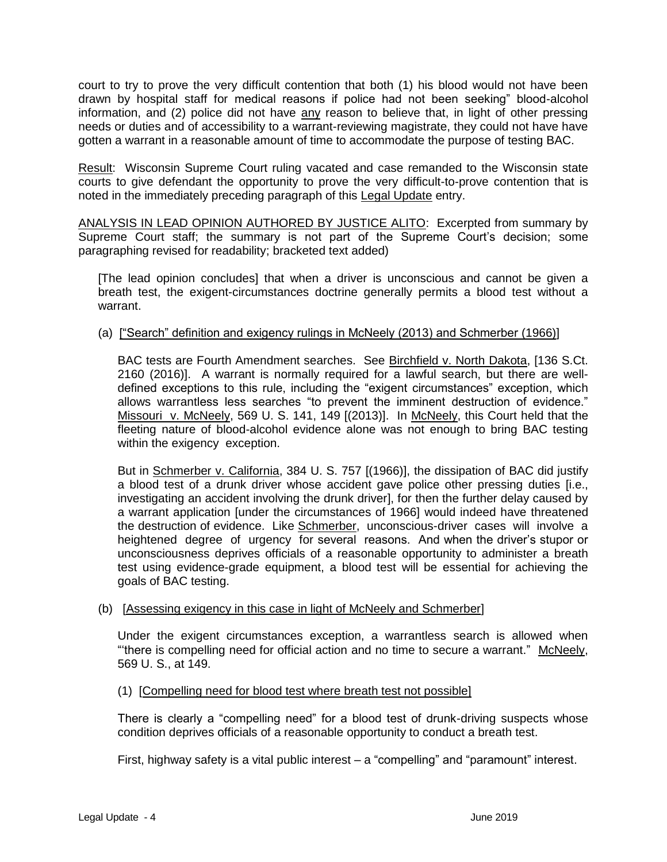court to try to prove the very difficult contention that both (1) his blood would not have been drawn by hospital staff for medical reasons if police had not been seeking" blood-alcohol information, and (2) police did not have any reason to believe that, in light of other pressing needs or duties and of accessibility to a warrant-reviewing magistrate, they could not have have gotten a warrant in a reasonable amount of time to accommodate the purpose of testing BAC.

Result: Wisconsin Supreme Court ruling vacated and case remanded to the Wisconsin state courts to give defendant the opportunity to prove the very difficult-to-prove contention that is noted in the immediately preceding paragraph of this Legal Update entry.

ANALYSIS IN LEAD OPINION AUTHORED BY JUSTICE ALITO:Excerpted from summary by Supreme Court staff; the summary is not part of the Supreme Court's decision; some paragraphing revised for readability; bracketed text added)

[The lead opinion concludes] that when a driver is unconscious and cannot be given a breath test, the exigent-circumstances doctrine generally permits a blood test without a warrant.

# (a) ["Search" definition and exigency rulings in McNeely (2013) and Schmerber (1966)]

BAC tests are Fourth Amendment searches. See Birchfield v. North Dakota, [136 S.Ct. 2160 (2016)]. A warrant is normally required for a lawful search, but there are welldefined exceptions to this rule, including the "exigent circumstances" exception, which allows warrantless less searches "to prevent the imminent destruction of evidence." Missouri v. McNeely, 569 U. S. 141, 149 [(2013)]. In McNeely, this Court held that the fleeting nature of blood-alcohol evidence alone was not enough to bring BAC testing within the exigency exception.

But in Schmerber v. California, 384 U. S. 757 [(1966)], the dissipation of BAC did justify a blood test of a drunk driver whose accident gave police other pressing duties [i.e., investigating an accident involving the drunk driver], for then the further delay caused by a warrant application [under the circumstances of 1966] would indeed have threatened the destruction of evidence. Like Schmerber, unconscious-driver cases will involve a heightened degree of urgency for several reasons. And when the driver's stupor or unconsciousness deprives officials of a reasonable opportunity to administer a breath test using evidence-grade equipment, a blood test will be essential for achieving the goals of BAC testing.

# (b) [Assessing exigency in this case in light of McNeely and Schmerber]

Under the exigent circumstances exception, a warrantless search is allowed when "'there is compelling need for official action and no time to secure a warrant." McNeely, 569 U. S., at 149.

### (1) [Compelling need for blood test where breath test not possible]

There is clearly a "compelling need" for a blood test of drunk-driving suspects whose condition deprives officials of a reasonable opportunity to conduct a breath test.

First, highway safety is a vital public interest – a "compelling" and "paramount" interest.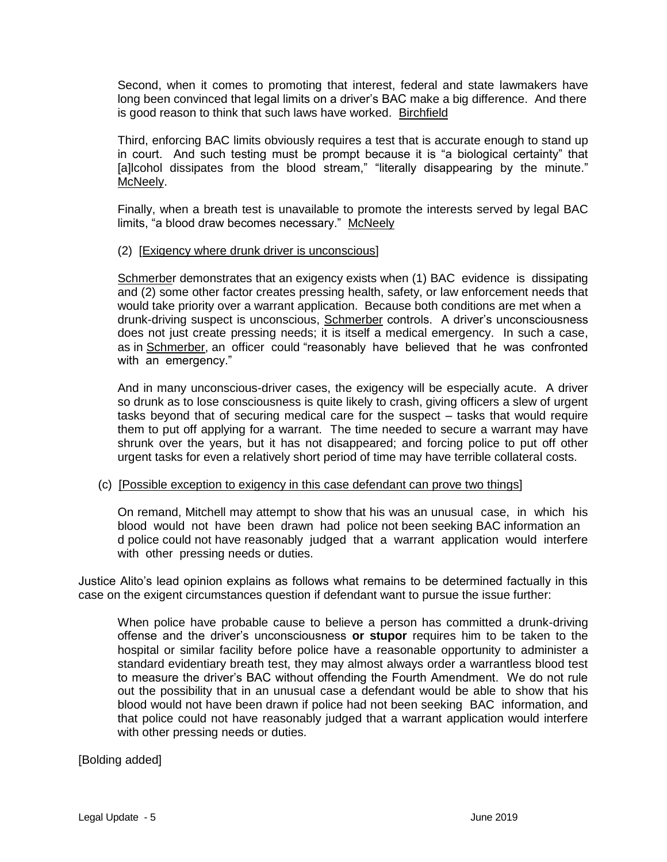Second, when it comes to promoting that interest, federal and state lawmakers have long been convinced that legal limits on a driver's BAC make a big difference. And there is good reason to think that such laws have worked. Birchfield

Third, enforcing BAC limits obviously requires a test that is accurate enough to stand up in court. And such testing must be prompt because it is "a biological certainty" that [a]lcohol dissipates from the blood stream," "literally disappearing by the minute." McNeely.

Finally, when a breath test is unavailable to promote the interests served by legal BAC limits, "a blood draw becomes necessary." McNeely

### (2) [Exigency where drunk driver is unconscious]

Schmerber demonstrates that an exigency exists when (1) BAC evidence is dissipating and (2) some other factor creates pressing health, safety, or law enforcement needs that would take priority over a warrant application. Because both conditions are met when a drunk-driving suspect is unconscious, Schmerber controls. A driver's unconsciousness does not just create pressing needs; it is itself a medical emergency. In such a case, as in Schmerber, an officer could "reasonably have believed that he was confronted with an emergency."

And in many unconscious-driver cases, the exigency will be especially acute. A driver so drunk as to lose consciousness is quite likely to crash, giving officers a slew of urgent tasks beyond that of securing medical care for the suspect – tasks that would require them to put off applying for a warrant. The time needed to secure a warrant may have shrunk over the years, but it has not disappeared; and forcing police to put off other urgent tasks for even a relatively short period of time may have terrible collateral costs.

### (c) [Possible exception to exigency in this case defendant can prove two things]

On remand, Mitchell may attempt to show that his was an unusual case, in which his blood would not have been drawn had police not been seeking BAC information an d police could not have reasonably judged that a warrant application would interfere with other pressing needs or duties.

Justice Alito's lead opinion explains as follows what remains to be determined factually in this case on the exigent circumstances question if defendant want to pursue the issue further:

When police have probable cause to believe a person has committed a drunk-driving offense and the driver's unconsciousness **or stupor** requires him to be taken to the hospital or similar facility before police have a reasonable opportunity to administer a standard evidentiary breath test, they may almost always order a warrantless blood test to measure the driver's BAC without offending the Fourth Amendment. We do not rule out the possibility that in an unusual case a defendant would be able to show that his blood would not have been drawn if police had not been seeking BAC information, and that police could not have reasonably judged that a warrant application would interfere with other pressing needs or duties.

[Bolding added]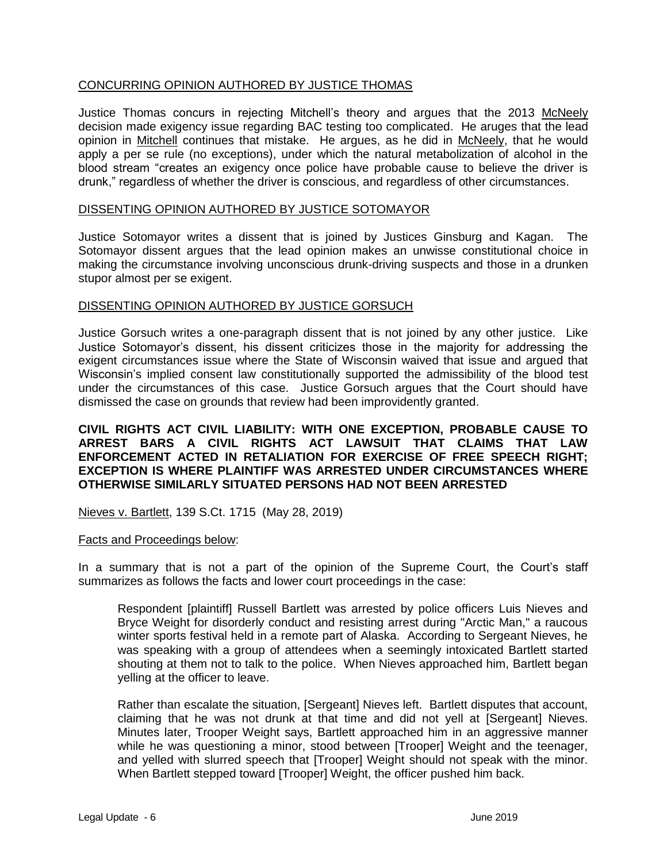# CONCURRING OPINION AUTHORED BY JUSTICE THOMAS

Justice Thomas concurs in rejecting Mitchell's theory and argues that the 2013 McNeely decision made exigency issue regarding BAC testing too complicated. He aruges that the lead opinion in Mitchell continues that mistake. He argues, as he did in McNeely, that he would apply a per se rule (no exceptions), under which the natural metabolization of alcohol in the blood stream "creates an exigency once police have probable cause to believe the driver is drunk," regardless of whether the driver is conscious, and regardless of other circumstances.

#### DISSENTING OPINION AUTHORED BY JUSTICE SOTOMAYOR

Justice Sotomayor writes a dissent that is joined by Justices Ginsburg and Kagan. The Sotomayor dissent argues that the lead opinion makes an unwisse constitutional choice in making the circumstance involving unconscious drunk-driving suspects and those in a drunken stupor almost per se exigent.

#### DISSENTING OPINION AUTHORED BY JUSTICE GORSUCH

Justice Gorsuch writes a one-paragraph dissent that is not joined by any other justice. Like Justice Sotomayor's dissent, his dissent criticizes those in the majority for addressing the exigent circumstances issue where the State of Wisconsin waived that issue and argued that Wisconsin's implied consent law constitutionally supported the admissibility of the blood test under the circumstances of this case. Justice Gorsuch argues that the Court should have dismissed the case on grounds that review had been improvidently granted.

# **CIVIL RIGHTS ACT CIVIL LIABILITY: WITH ONE EXCEPTION, PROBABLE CAUSE TO ARREST BARS A CIVIL RIGHTS ACT LAWSUIT THAT CLAIMS THAT LAW ENFORCEMENT ACTED IN RETALIATION FOR EXERCISE OF FREE SPEECH RIGHT; EXCEPTION IS WHERE PLAINTIFF WAS ARRESTED UNDER CIRCUMSTANCES WHERE OTHERWISE SIMILARLY SITUATED PERSONS HAD NOT BEEN ARRESTED**

Nieves v. Bartlett, 139 S.Ct. 1715 (May 28, 2019)

#### Facts and Proceedings below:

In a summary that is not a part of the opinion of the Supreme Court, the Court's staff summarizes as follows the facts and lower court proceedings in the case:

Respondent [plaintiff] Russell Bartlett was arrested by police officers Luis Nieves and Bryce Weight for disorderly conduct and resisting arrest during "Arctic Man," a raucous winter sports festival held in a remote part of Alaska. According to Sergeant Nieves, he was speaking with a group of attendees when a seemingly intoxicated Bartlett started shouting at them not to talk to the police. When Nieves approached him, Bartlett began yelling at the officer to leave.

Rather than escalate the situation, [Sergeant] Nieves left. Bartlett disputes that account, claiming that he was not drunk at that time and did not yell at [Sergeant] Nieves. Minutes later, Trooper Weight says, Bartlett approached him in an aggressive manner while he was questioning a minor, stood between [Trooper] Weight and the teenager, and yelled with slurred speech that [Trooper] Weight should not speak with the minor. When Bartlett stepped toward [Trooper] Weight, the officer pushed him back.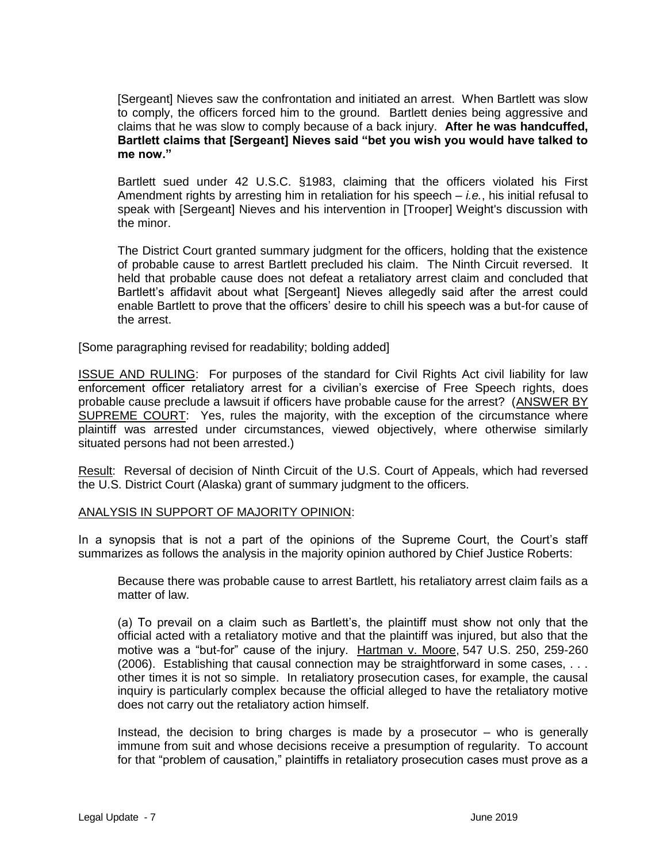[Sergeant] Nieves saw the confrontation and initiated an arrest. When Bartlett was slow to comply, the officers forced him to the ground. Bartlett denies being aggressive and claims that he was slow to comply because of a back injury. **After he was handcuffed, Bartlett claims that [Sergeant] Nieves said "bet you wish you would have talked to me now."**

Bartlett sued under 42 U.S.C. §1983, claiming that the officers violated his First Amendment rights by arresting him in retaliation for his speech – *i.e.*, his initial refusal to speak with [Sergeant] Nieves and his intervention in [Trooper] Weight's discussion with the minor.

The District Court granted summary judgment for the officers, holding that the existence of probable cause to arrest Bartlett precluded his claim. The Ninth Circuit reversed. It held that probable cause does not defeat a retaliatory arrest claim and concluded that Bartlett's affidavit about what [Sergeant] Nieves allegedly said after the arrest could enable Bartlett to prove that the officers' desire to chill his speech was a but-for cause of the arrest.

[Some paragraphing revised for readability; bolding added]

ISSUE AND RULING: For purposes of the standard for Civil Rights Act civil liability for law enforcement officer retaliatory arrest for a civilian's exercise of Free Speech rights, does probable cause preclude a lawsuit if officers have probable cause for the arrest? (ANSWER BY SUPREME COURT: Yes, rules the majority, with the exception of the circumstance where plaintiff was arrested under circumstances, viewed objectively, where otherwise similarly situated persons had not been arrested.)

Result: Reversal of decision of Ninth Circuit of the U.S. Court of Appeals, which had reversed the U.S. District Court (Alaska) grant of summary judgment to the officers.

### ANALYSIS IN SUPPORT OF MAJORITY OPINION:

In a synopsis that is not a part of the opinions of the Supreme Court, the Court's staff summarizes as follows the analysis in the majority opinion authored by Chief Justice Roberts:

Because there was probable cause to arrest Bartlett, his retaliatory arrest claim fails as a matter of law.

(a) To prevail on a claim such as Bartlett's, the plaintiff must show not only that the official acted with a retaliatory motive and that the plaintiff was injured, but also that the motive was a "but-for" cause of the injury. Hartman v. Moore, [547 U.S. 250,](http://lawriter.net/getCitState.aspx?series=U.S.&citationno=547+U.S.+250&scd=FED) 259-260 (2006). Establishing that causal connection may be straightforward in some cases, . . . other times it is not so simple. In retaliatory prosecution cases, for example, the causal inquiry is particularly complex because the official alleged to have the retaliatory motive does not carry out the retaliatory action himself.

Instead, the decision to bring charges is made by a prosecutor – who is generally immune from suit and whose decisions receive a presumption of regularity. To account for that "problem of causation," plaintiffs in retaliatory prosecution cases must prove as a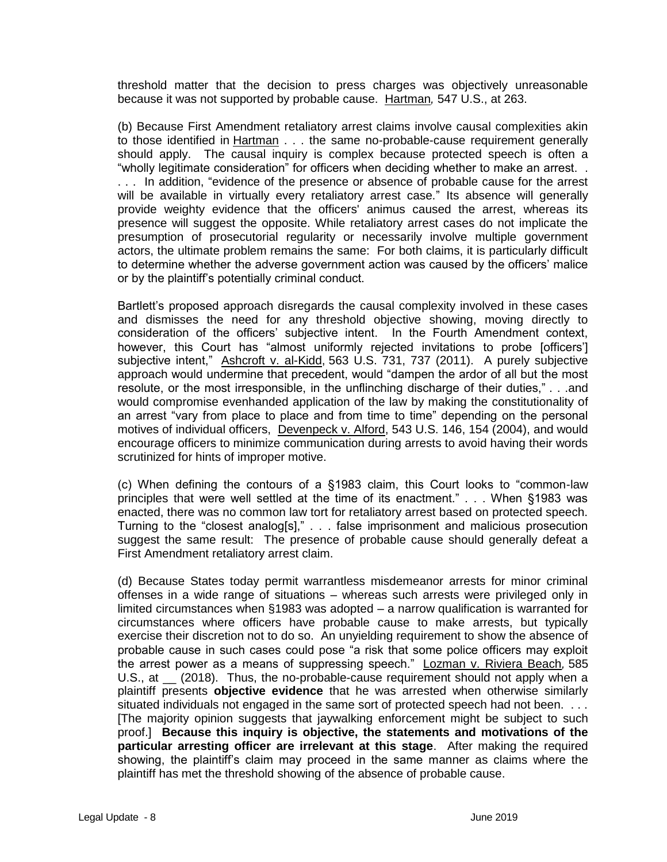threshold matter that the decision to press charges was objectively unreasonable because it was not supported by probable cause. Hartman*,* 547 U.S., at 263.

(b) Because First Amendment retaliatory arrest claims involve causal complexities akin to those identified in Hartman . . . the same no-probable-cause requirement generally should apply. The causal inquiry is complex because protected speech is often a "wholly legitimate consideration" for officers when deciding whether to make an arrest. . . . . In addition, "evidence of the presence or absence of probable cause for the arrest will be available in virtually every retaliatory arrest case." Its absence will generally provide weighty evidence that the officers' animus caused the arrest, whereas its presence will suggest the opposite. While retaliatory arrest cases do not implicate the presumption of prosecutorial regularity or necessarily involve multiple government actors, the ultimate problem remains the same: For both claims, it is particularly difficult to determine whether the adverse government action was caused by the officers' malice or by the plaintiff's potentially criminal conduct.

Bartlett's proposed approach disregards the causal complexity involved in these cases and dismisses the need for any threshold objective showing, moving directly to consideration of the officers' subjective intent. In the Fourth Amendment context, however, this Court has "almost uniformly rejected invitations to probe [officers'] subjective intent," Ashcroft v. al-Kidd, [563 U.S. 731,](http://lawriter.net/getCitState.aspx?series=U.S.&citationno=563+U.S.+731&scd=FED) 737 (2011). A purely subjective approach would undermine that precedent, would "dampen the ardor of all but the most resolute, or the most irresponsible, in the unflinching discharge of their duties," . . .and would compromise evenhanded application of the law by making the constitutionality of an arrest "vary from place to place and from time to time" depending on the personal motives of individual officers, Devenpeck v. Alford, [543 U.S.](http://lawriter.net/getCitState.aspx?series=U.S.&citationno=543+U.S.+146&scd=FED) 146, 154 (2004), and would encourage officers to minimize communication during arrests to avoid having their words scrutinized for hints of improper motive.

(c) When defining the contours of a §1983 claim, this Court looks to "common-law principles that were well settled at the time of its enactment." . . . When §1983 was enacted, there was no common law tort for retaliatory arrest based on protected speech. Turning to the "closest analog[s]," . . . false imprisonment and malicious prosecution suggest the same result: The presence of probable cause should generally defeat a First Amendment retaliatory arrest claim.

(d) Because States today permit warrantless misdemeanor arrests for minor criminal offenses in a wide range of situations – whereas such arrests were privileged only in limited circumstances when §1983 was adopted – a narrow qualification is warranted for circumstances where officers have probable cause to make arrests, but typically exercise their discretion not to do so. An unyielding requirement to show the absence of probable cause in such cases could pose "a risk that some police officers may exploit the arrest power as a means of suppressing speech." Lozman v. Riviera Beach*,* 585 U.S., at (2018). Thus, the no-probable-cause requirement should not apply when a plaintiff presents **objective evidence** that he was arrested when otherwise similarly situated individuals not engaged in the same sort of protected speech had not been. . . . [The majority opinion suggests that jaywalking enforcement might be subject to such proof.] **Because this inquiry is objective, the statements and motivations of the particular arresting officer are irrelevant at this stage**. After making the required showing, the plaintiff's claim may proceed in the same manner as claims where the plaintiff has met the threshold showing of the absence of probable cause.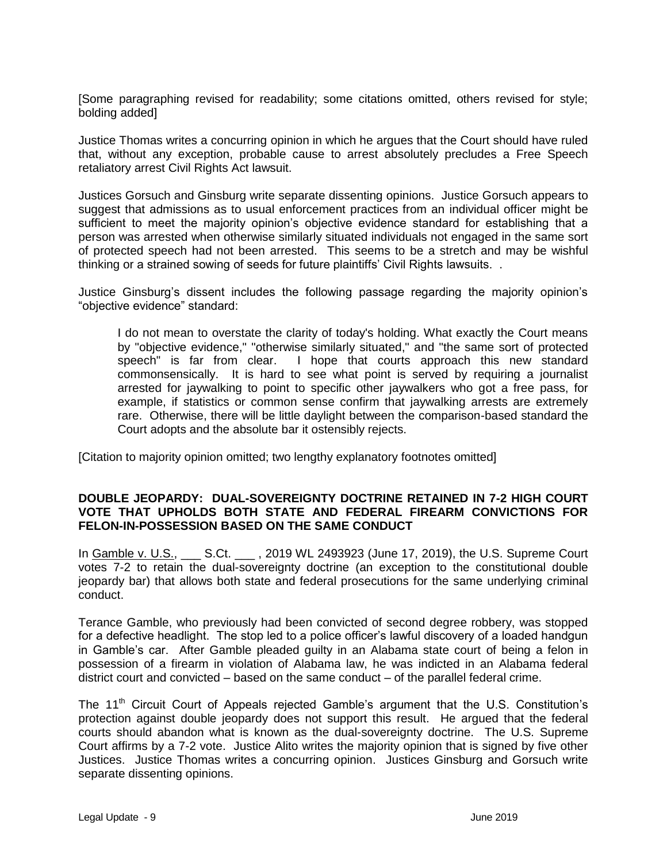[Some paragraphing revised for readability; some citations omitted, others revised for style; bolding added]

Justice Thomas writes a concurring opinion in which he argues that the Court should have ruled that, without any exception, probable cause to arrest absolutely precludes a Free Speech retaliatory arrest Civil Rights Act lawsuit.

Justices Gorsuch and Ginsburg write separate dissenting opinions. Justice Gorsuch appears to suggest that admissions as to usual enforcement practices from an individual officer might be sufficient to meet the majority opinion's objective evidence standard for establishing that a person was arrested when otherwise similarly situated individuals not engaged in the same sort of protected speech had not been arrested. This seems to be a stretch and may be wishful thinking or a strained sowing of seeds for future plaintiffs' Civil Rights lawsuits. .

Justice Ginsburg's dissent includes the following passage regarding the majority opinion's "objective evidence" standard:

I do not mean to overstate the clarity of today's holding. What exactly the Court means by "objective evidence," "otherwise similarly situated," and "the same sort of protected speech" is far from clear. I hope that courts approach this new standard commonsensically. It is hard to see what point is served by requiring a journalist arrested for jaywalking to point to specific other jaywalkers who got a free pass, for example, if statistics or common sense confirm that jaywalking arrests are extremely rare. Otherwise, there will be little daylight between the comparison-based standard the Court adopts and the absolute bar it ostensibly rejects.

[Citation to majority opinion omitted; two lengthy explanatory footnotes omitted]

# **DOUBLE JEOPARDY: DUAL-SOVEREIGNTY DOCTRINE RETAINED IN 7-2 HIGH COURT VOTE THAT UPHOLDS BOTH STATE AND FEDERAL FIREARM CONVICTIONS FOR FELON-IN-POSSESSION BASED ON THE SAME CONDUCT**

In Gamble v. U.S., \_\_\_ S.Ct. \_\_\_ , 2019 WL 2493923 (June 17, 2019), the U.S. Supreme Court votes 7-2 to retain the dual-sovereignty doctrine (an exception to the constitutional double jeopardy bar) that allows both state and federal prosecutions for the same underlying criminal conduct.

Terance Gamble, who previously had been convicted of second degree robbery, was stopped for a defective headlight. The stop led to a police officer's lawful discovery of a loaded handgun in Gamble's car. After Gamble pleaded guilty in an Alabama state court of being a felon in possession of a firearm in violation of Alabama law, he was indicted in an Alabama federal district court and convicted – based on the same conduct – of the parallel federal crime.

The 11<sup>th</sup> Circuit Court of Appeals rejected Gamble's argument that the U.S. Constitution's protection against double jeopardy does not support this result. He argued that the federal courts should abandon what is known as the dual-sovereignty doctrine. The U.S. Supreme Court affirms by a 7-2 vote. Justice Alito writes the majority opinion that is signed by five other Justices. Justice Thomas writes a concurring opinion. Justices Ginsburg and Gorsuch write separate dissenting opinions.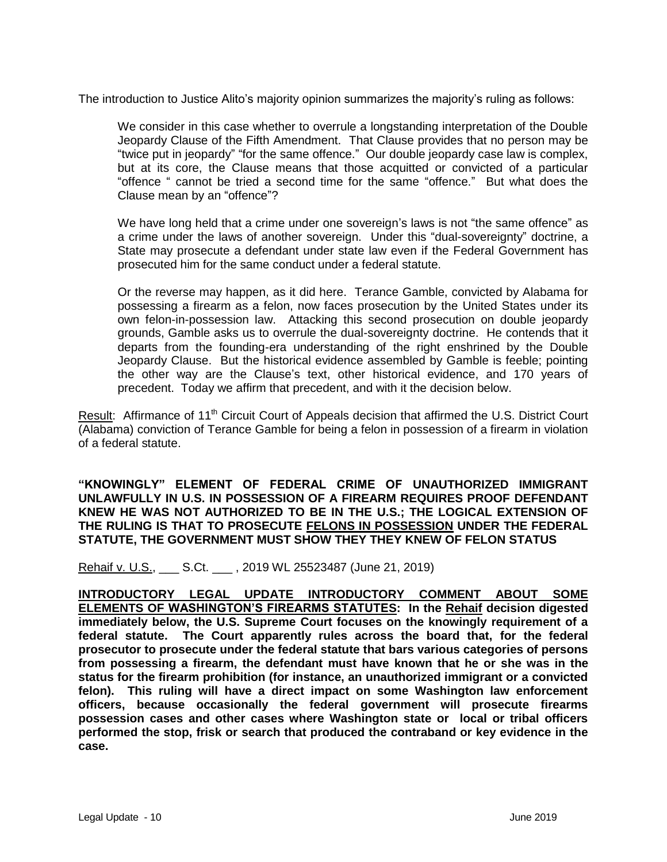The introduction to Justice Alito's majority opinion summarizes the majority's ruling as follows:

We consider in this case whether to overrule a longstanding interpretation of the Double Jeopardy Clause of the Fifth Amendment. That Clause provides that no person may be "twice put in jeopardy" "for the same offence." Our double jeopardy case law is complex, but at its core, the Clause means that those acquitted or convicted of a particular "offence " cannot be tried a second time for the same "offence." But what does the Clause mean by an "offence"?

We have long held that a crime under one sovereign's laws is not "the same offence" as a crime under the laws of another sovereign. Under this "dual-sovereignty" doctrine, a State may prosecute a defendant under state law even if the Federal Government has prosecuted him for the same conduct under a federal statute.

Or the reverse may happen, as it did here. Terance Gamble, convicted by Alabama for possessing a firearm as a felon, now faces prosecution by the United States under its own felon-in-possession law. Attacking this second prosecution on double jeopardy grounds, Gamble asks us to overrule the dual-sovereignty doctrine. He contends that it departs from the founding-era understanding of the right enshrined by the Double Jeopardy Clause. But the historical evidence assembled by Gamble is feeble; pointing the other way are the Clause's text, other historical evidence, and 170 years of precedent. Today we affirm that precedent, and with it the decision below.

Result: Affirmance of 11<sup>th</sup> Circuit Court of Appeals decision that affirmed the U.S. District Court (Alabama) conviction of Terance Gamble for being a felon in possession of a firearm in violation of a federal statute.

**"KNOWINGLY" ELEMENT OF FEDERAL CRIME OF UNAUTHORIZED IMMIGRANT UNLAWFULLY IN U.S. IN POSSESSION OF A FIREARM REQUIRES PROOF DEFENDANT KNEW HE WAS NOT AUTHORIZED TO BE IN THE U.S.; THE LOGICAL EXTENSION OF THE RULING IS THAT TO PROSECUTE FELONS IN POSSESSION UNDER THE FEDERAL STATUTE, THE GOVERNMENT MUST SHOW THEY THEY KNEW OF FELON STATUS** 

Rehaif v. U.S., \_\_\_ S.Ct. \_\_\_ , 2019 WL 25523487 (June 21, 2019)

**INTRODUCTORY LEGAL UPDATE INTRODUCTORY COMMENT ABOUT SOME ELEMENTS OF WASHINGTON'S FIREARMS STATUTES: In the Rehaif decision digested immediately below, the U.S. Supreme Court focuses on the knowingly requirement of a federal statute. The Court apparently rules across the board that, for the federal prosecutor to prosecute under the federal statute that bars various categories of persons from possessing a firearm, the defendant must have known that he or she was in the status for the firearm prohibition (for instance, an unauthorized immigrant or a convicted felon). This ruling will have a direct impact on some Washington law enforcement officers, because occasionally the federal government will prosecute firearms possession cases and other cases where Washington state or local or tribal officers performed the stop, frisk or search that produced the contraband or key evidence in the case.**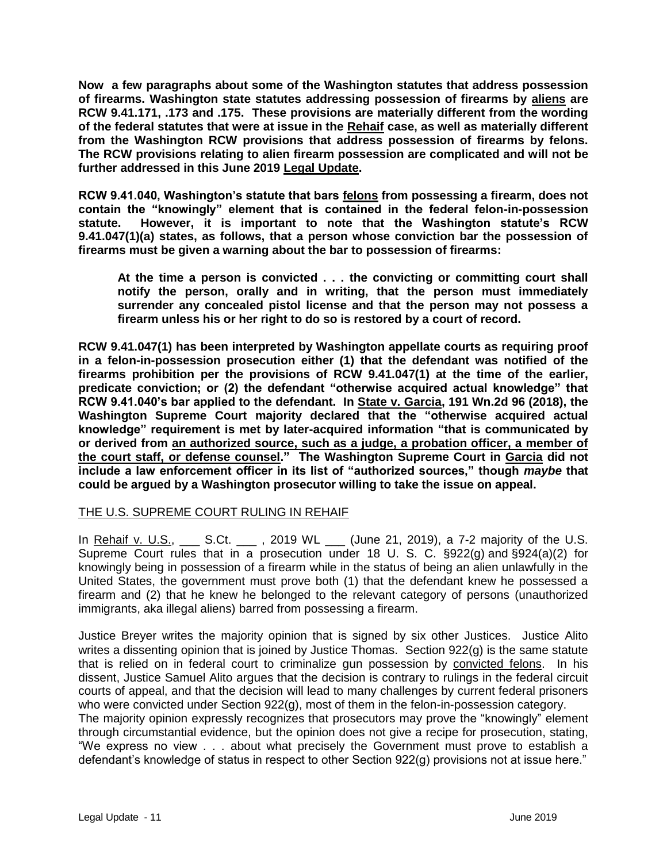**Now a few paragraphs about some of the Washington statutes that address possession of firearms. Washington state statutes addressing possession of firearms by aliens are RCW 9.41.171, .173 and .175. These provisions are materially different from the wording of the federal statutes that were at issue in the Rehaif case, as well as materially different from the Washington RCW provisions that address possession of firearms by felons. The RCW provisions relating to alien firearm possession are complicated and will not be further addressed in this June 2019 Legal Update.**

**RCW 9.41.040, Washington's statute that bars felons from possessing a firearm, does not contain the "knowingly" element that is contained in the federal felon-in-possession statute. However, it is important to note that the Washington statute's RCW 9.41.047(1)(a) states, as follows, that a person whose conviction bar the possession of firearms must be given a warning about the bar to possession of firearms:** 

**At the time a person is convicted . . . the convicting or committing court shall notify the person, orally and in writing, that the person must immediately surrender any concealed pistol license and that the person may not possess a firearm unless his or her right to do so is restored by a court of record.** 

**RCW 9.41.047(1) has been interpreted by Washington appellate courts as requiring proof in a felon-in-possession prosecution either (1) that the defendant was notified of the firearms prohibition per the provisions of RCW 9.41.047(1) at the time of the earlier, predicate conviction; or (2) the defendant "otherwise acquired actual knowledge" that RCW 9.41.040's bar applied to the defendant. In State v. Garcia, 191 Wn.2d 96 (2018), the Washington Supreme Court majority declared that the "otherwise acquired actual knowledge" requirement is met by later-acquired information "that is communicated by or derived from an authorized source, such as a judge, a probation officer, a member of the court staff, or defense counsel." The Washington Supreme Court in Garcia did not include a law enforcement officer in its list of "authorized sources," though** *maybe* **that could be argued by a Washington prosecutor willing to take the issue on appeal.** 

# THE U.S. SUPREME COURT RULING IN REHAIF

In Rehaif v. U.S.,  $\qquad S.Ct.$  , 2019 WL (June 21, 2019), a 7-2 majority of the U.S. Supreme Court rules that in a prosecution under 18 U. S. C. [§922\(g\)](https://casetext.com/statute/united-states-code/title-18-crimes-and-criminal-procedure/part-i-crimes/chapter-44-firearms/922-unlawful-acts) and [§924\(a\)\(2\)](https://casetext.com/statute/united-states-code/title-18-crimes-and-criminal-procedure/part-i-crimes/chapter-44-firearms/924-penalties) for knowingly being in possession of a firearm while in the status of being an alien unlawfully in the United States, the government must prove both (1) that the defendant knew he possessed a firearm and (2) that he knew he belonged to the relevant category of persons (unauthorized immigrants, aka illegal aliens) barred from possessing a firearm.

Justice Breyer writes the majority opinion that is signed by six other Justices. Justice Alito writes a dissenting opinion that is joined by Justice Thomas. Section 922(q) is the same statute that is relied on in federal court to criminalize gun possession by convicted felons. In his dissent, Justice Samuel Alito argues that the decision is contrary to rulings in the federal circuit courts of appeal, and that the decision will lead to many challenges by current federal prisoners who were convicted under Section 922(g), most of them in the felon-in-possession category.

The majority opinion expressly recognizes that prosecutors may prove the "knowingly" element through circumstantial evidence, but the opinion does not give a recipe for prosecution, stating, "We express no view . . . about what precisely the Government must prove to establish a defendant's knowledge of status in respect to other Section 922(g) provisions not at issue here."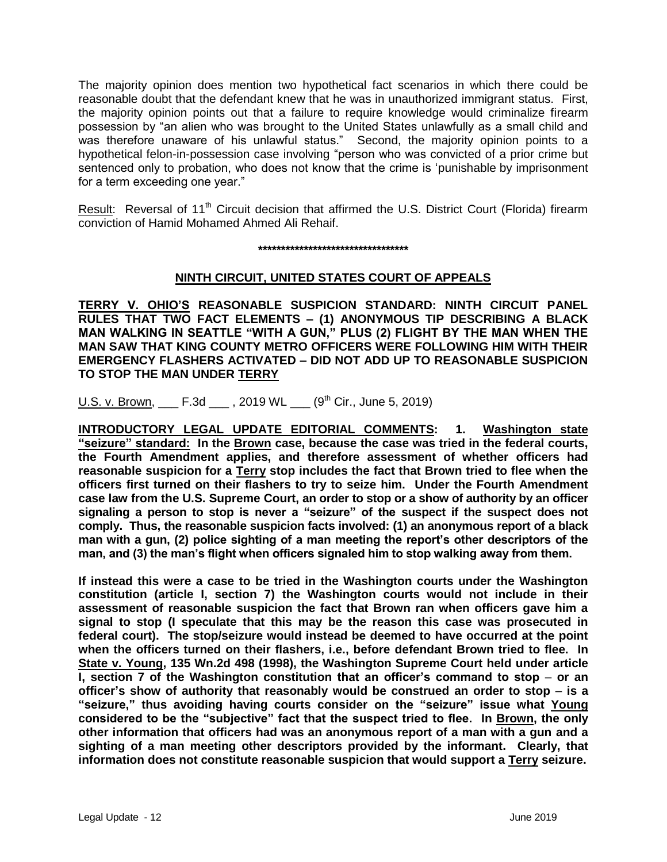The majority opinion does mention two hypothetical fact scenarios in which there could be reasonable doubt that the defendant knew that he was in unauthorized immigrant status. First, the majority opinion points out that a failure to require knowledge would criminalize firearm possession by "an alien who was brought to the United States unlawfully as a small child and was therefore unaware of his unlawful status." Second, the majority opinion points to a hypothetical felon-in-possession case involving "person who was convicted of a prior crime but sentenced only to probation, who does not know that the crime is 'punishable by imprisonment for a term exceeding one year."

Result: Reversal of 11<sup>th</sup> Circuit decision that affirmed the U.S. District Court (Florida) firearm conviction of Hamid Mohamed Ahmed Ali Rehaif.

**\*\*\*\*\*\*\*\*\*\*\*\*\*\*\*\*\*\*\*\*\*\*\*\*\*\*\*\*\*\*\*\*\***

# **NINTH CIRCUIT, UNITED STATES COURT OF APPEALS**

**TERRY V. OHIO'S REASONABLE SUSPICION STANDARD: NINTH CIRCUIT PANEL RULES THAT TWO FACT ELEMENTS – (1) ANONYMOUS TIP DESCRIBING A BLACK MAN WALKING IN SEATTLE "WITH A GUN," PLUS (2) FLIGHT BY THE MAN WHEN THE MAN SAW THAT KING COUNTY METRO OFFICERS WERE FOLLOWING HIM WITH THEIR EMERGENCY FLASHERS ACTIVATED – DID NOT ADD UP TO REASONABLE SUSPICION TO STOP THE MAN UNDER TERRY** 

U.S. v. Brown,  $F.3d$ , 2019 WL  $(9<sup>th</sup> Cir., June 5, 2019)$ 

**INTRODUCTORY LEGAL UPDATE EDITORIAL COMMENTS: 1. Washington state "seizure" standard: In the Brown case, because the case was tried in the federal courts, the Fourth Amendment applies, and therefore assessment of whether officers had reasonable suspicion for a Terry stop includes the fact that Brown tried to flee when the officers first turned on their flashers to try to seize him. Under the Fourth Amendment case law from the U.S. Supreme Court, an order to stop or a show of authority by an officer signaling a person to stop is never a "seizure" of the suspect if the suspect does not comply. Thus, the reasonable suspicion facts involved: (1) an anonymous report of a black man with a gun, (2) police sighting of a man meeting the report's other descriptors of the man, and (3) the man's flight when officers signaled him to stop walking away from them.**

**If instead this were a case to be tried in the Washington courts under the Washington constitution (article I, section 7) the Washington courts would not include in their assessment of reasonable suspicion the fact that Brown ran when officers gave him a signal to stop (I speculate that this may be the reason this case was prosecuted in federal court). The stop/seizure would instead be deemed to have occurred at the point when the officers turned on their flashers, i.e., before defendant Brown tried to flee. In State v. Young, 135 Wn.2d 498 (1998), the Washington Supreme Court held under article I, section 7 of the Washington constitution that an officer's command to stop** – **or an officer's show of authority that reasonably would be construed an order to stop** – **is a "seizure," thus avoiding having courts consider on the "seizure" issue what Young considered to be the "subjective" fact that the suspect tried to flee. In Brown, the only other information that officers had was an anonymous report of a man with a gun and a sighting of a man meeting other descriptors provided by the informant. Clearly, that information does not constitute reasonable suspicion that would support a Terry seizure.**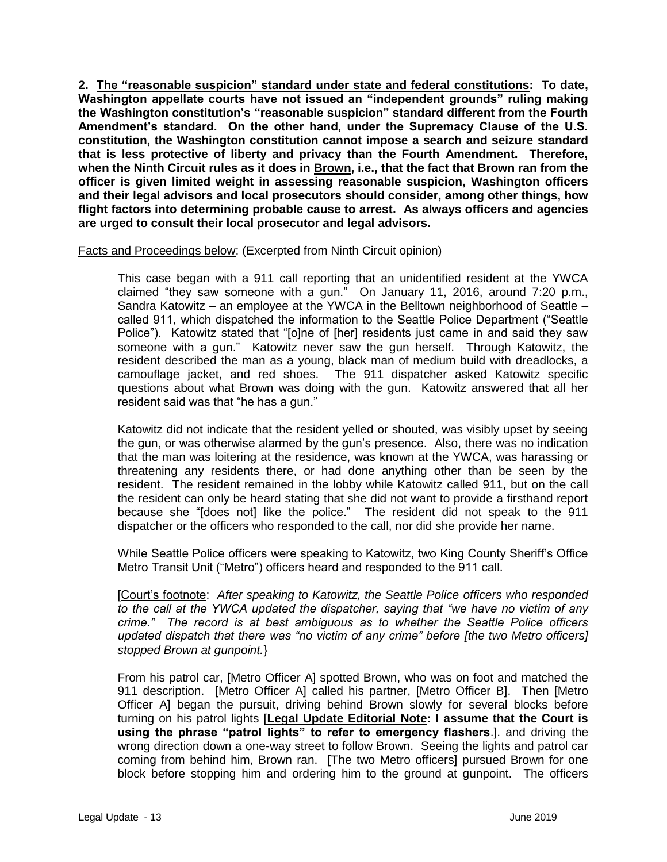**2. The "reasonable suspicion" standard under state and federal constitutions: To date, Washington appellate courts have not issued an "independent grounds" ruling making the Washington constitution's "reasonable suspicion" standard different from the Fourth Amendment's standard. On the other hand, under the Supremacy Clause of the U.S. constitution, the Washington constitution cannot impose a search and seizure standard that is less protective of liberty and privacy than the Fourth Amendment. Therefore, when the Ninth Circuit rules as it does in Brown, i.e., that the fact that Brown ran from the officer is given limited weight in assessing reasonable suspicion, Washington officers and their legal advisors and local prosecutors should consider, among other things, how flight factors into determining probable cause to arrest. As always officers and agencies are urged to consult their local prosecutor and legal advisors.**

Facts and Proceedings below: (Excerpted from Ninth Circuit opinion)

This case began with a 911 call reporting that an unidentified resident at the YWCA claimed "they saw someone with a gun." On January 11, 2016, around 7:20 p.m., Sandra Katowitz – an employee at the YWCA in the Belltown neighborhood of Seattle – called 911, which dispatched the information to the Seattle Police Department ("Seattle Police"). Katowitz stated that "[o]ne of [her] residents just came in and said they saw someone with a gun." Katowitz never saw the gun herself. Through Katowitz, the resident described the man as a young, black man of medium build with dreadlocks, a camouflage jacket, and red shoes. The 911 dispatcher asked Katowitz specific questions about what Brown was doing with the gun. Katowitz answered that all her resident said was that "he has a gun."

Katowitz did not indicate that the resident yelled or shouted, was visibly upset by seeing the gun, or was otherwise alarmed by the gun's presence. Also, there was no indication that the man was loitering at the residence, was known at the YWCA, was harassing or threatening any residents there, or had done anything other than be seen by the resident. The resident remained in the lobby while Katowitz called 911, but on the call the resident can only be heard stating that she did not want to provide a firsthand report because she "[does not] like the police." The resident did not speak to the 911 dispatcher or the officers who responded to the call, nor did she provide her name.

While Seattle Police officers were speaking to Katowitz, two King County Sheriff's Office Metro Transit Unit ("Metro") officers heard and responded to the 911 call.

[Court's footnote: *After speaking to Katowitz, the Seattle Police officers who responded to the call at the YWCA updated the dispatcher, saying that "we have no victim of any crime." The record is at best ambiguous as to whether the Seattle Police officers updated dispatch that there was "no victim of any crime" before [the two Metro officers] stopped Brown at gunpoint.*}

From his patrol car, [Metro Officer A] spotted Brown, who was on foot and matched the 911 description. [Metro Officer A] called his partner, [Metro Officer B]. Then [Metro Officer A] began the pursuit, driving behind Brown slowly for several blocks before turning on his patrol lights [**Legal Update Editorial Note: I assume that the Court is using the phrase "patrol lights" to refer to emergency flashers**.]. and driving the wrong direction down a one-way street to follow Brown. Seeing the lights and patrol car coming from behind him, Brown ran. [The two Metro officers] pursued Brown for one block before stopping him and ordering him to the ground at gunpoint. The officers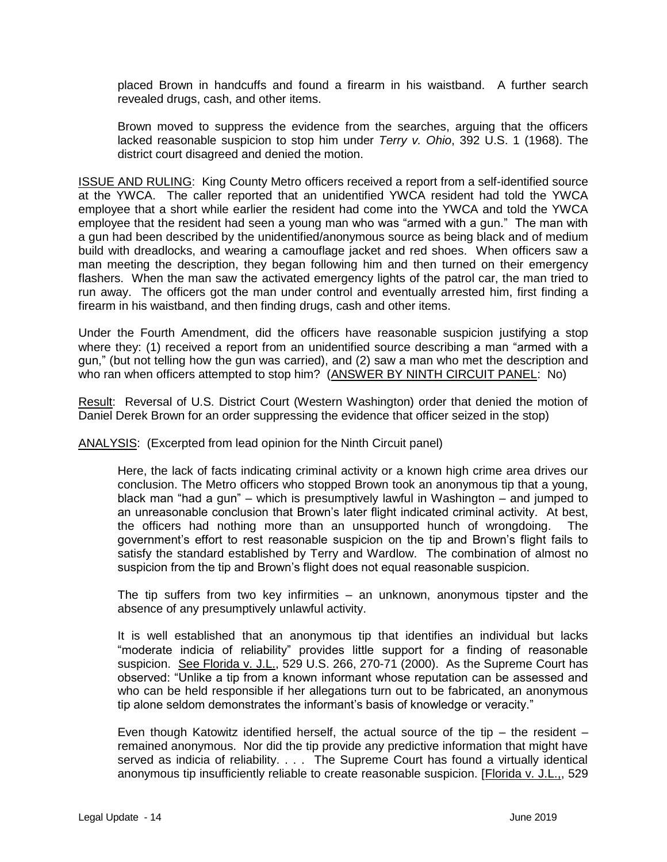placed Brown in handcuffs and found a firearm in his waistband. A further search revealed drugs, cash, and other items.

Brown moved to suppress the evidence from the searches, arguing that the officers lacked reasonable suspicion to stop him under *Terry v. Ohio*, 392 U.S. 1 (1968). The district court disagreed and denied the motion.

ISSUE AND RULING: King County Metro officers received a report from a self-identified source at the YWCA. The caller reported that an unidentified YWCA resident had told the YWCA employee that a short while earlier the resident had come into the YWCA and told the YWCA employee that the resident had seen a young man who was "armed with a gun." The man with a gun had been described by the unidentified/anonymous source as being black and of medium build with dreadlocks, and wearing a camouflage jacket and red shoes. When officers saw a man meeting the description, they began following him and then turned on their emergency flashers. When the man saw the activated emergency lights of the patrol car, the man tried to run away. The officers got the man under control and eventually arrested him, first finding a firearm in his waistband, and then finding drugs, cash and other items.

Under the Fourth Amendment, did the officers have reasonable suspicion justifying a stop where they: (1) received a report from an unidentified source describing a man "armed with a gun," (but not telling how the gun was carried), and (2) saw a man who met the description and who ran when officers attempted to stop him? (ANSWER BY NINTH CIRCUIT PANEL: No)

Result: Reversal of U.S. District Court (Western Washington) order that denied the motion of Daniel Derek Brown for an order suppressing the evidence that officer seized in the stop)

ANALYSIS: (Excerpted from lead opinion for the Ninth Circuit panel)

Here, the lack of facts indicating criminal activity or a known high crime area drives our conclusion. The Metro officers who stopped Brown took an anonymous tip that a young, black man "had a gun" – which is presumptively lawful in Washington – and jumped to an unreasonable conclusion that Brown's later flight indicated criminal activity. At best, the officers had nothing more than an unsupported hunch of wrongdoing. The government's effort to rest reasonable suspicion on the tip and Brown's flight fails to satisfy the standard established by Terry and Wardlow. The combination of almost no suspicion from the tip and Brown's flight does not equal reasonable suspicion.

The tip suffers from two key infirmities – an unknown, anonymous tipster and the absence of any presumptively unlawful activity.

It is well established that an anonymous tip that identifies an individual but lacks "moderate indicia of reliability" provides little support for a finding of reasonable suspicion. See Florida v. J.L., 529 U.S. 266, 270-71 (2000). As the Supreme Court has observed: "Unlike a tip from a known informant whose reputation can be assessed and who can be held responsible if her allegations turn out to be fabricated, an anonymous tip alone seldom demonstrates the informant's basis of knowledge or veracity."

Even though Katowitz identified herself, the actual source of the tip  $-$  the resident  $$ remained anonymous. Nor did the tip provide any predictive information that might have served as indicia of reliability. . . . The Supreme Court has found a virtually identical anonymous tip insufficiently reliable to create reasonable suspicion. [Florida v. J.L.,, 529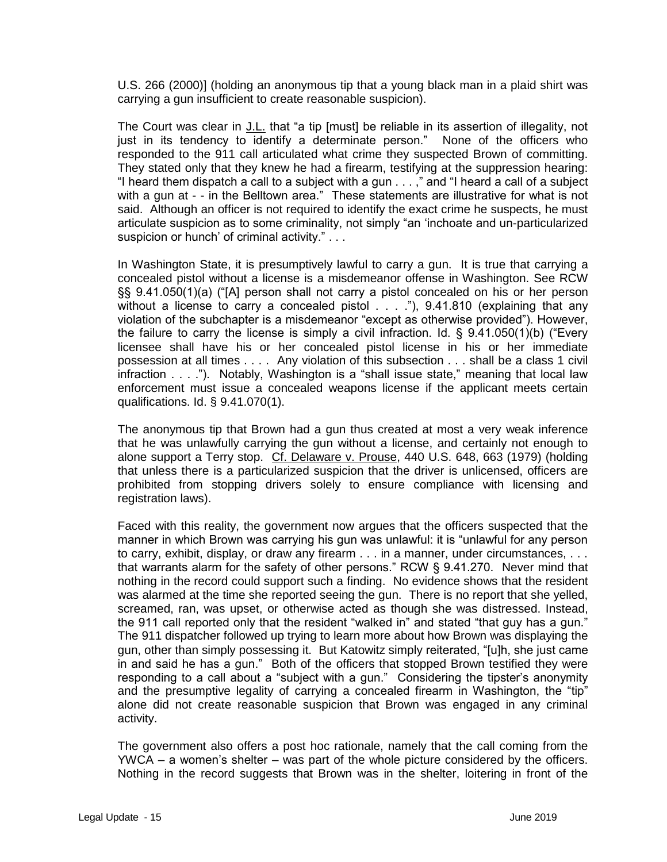U.S. 266 (2000)] (holding an anonymous tip that a young black man in a plaid shirt was carrying a gun insufficient to create reasonable suspicion).

The Court was clear in J.L. that "a tip [must] be reliable in its assertion of illegality, not just in its tendency to identify a determinate person." None of the officers who responded to the 911 call articulated what crime they suspected Brown of committing. They stated only that they knew he had a firearm, testifying at the suppression hearing: "I heard them dispatch a call to a subject with a gun . . . ," and "I heard a call of a subject with a gun at - - in the Belltown area." These statements are illustrative for what is not said. Although an officer is not required to identify the exact crime he suspects, he must articulate suspicion as to some criminality, not simply "an 'inchoate and un-particularized suspicion or hunch' of criminal activity." . . .

In Washington State, it is presumptively lawful to carry a gun. It is true that carrying a concealed pistol without a license is a misdemeanor offense in Washington. See RCW §§ 9.41.050(1)(a) ("[A] person shall not carry a pistol concealed on his or her person without a license to carry a concealed pistol  $\ldots$  ."), 9.41.810 (explaining that any violation of the subchapter is a misdemeanor "except as otherwise provided"). However, the failure to carry the license is simply a civil infraction. Id. § 9.41.050(1)(b) ("Every licensee shall have his or her concealed pistol license in his or her immediate possession at all times . . . . Any violation of this subsection . . . shall be a class 1 civil infraction . . . ."). Notably, Washington is a "shall issue state," meaning that local law enforcement must issue a concealed weapons license if the applicant meets certain qualifications. Id. § 9.41.070(1).

The anonymous tip that Brown had a gun thus created at most a very weak inference that he was unlawfully carrying the gun without a license, and certainly not enough to alone support a Terry stop. Cf. Delaware v. Prouse, 440 U.S. 648, 663 (1979) (holding that unless there is a particularized suspicion that the driver is unlicensed, officers are prohibited from stopping drivers solely to ensure compliance with licensing and registration laws).

Faced with this reality, the government now argues that the officers suspected that the manner in which Brown was carrying his gun was unlawful: it is "unlawful for any person to carry, exhibit, display, or draw any firearm . . . in a manner, under circumstances, . . . that warrants alarm for the safety of other persons." RCW § 9.41.270. Never mind that nothing in the record could support such a finding. No evidence shows that the resident was alarmed at the time she reported seeing the gun. There is no report that she yelled, screamed, ran, was upset, or otherwise acted as though she was distressed. Instead, the 911 call reported only that the resident "walked in" and stated "that guy has a gun." The 911 dispatcher followed up trying to learn more about how Brown was displaying the gun, other than simply possessing it. But Katowitz simply reiterated, "[u]h, she just came in and said he has a gun." Both of the officers that stopped Brown testified they were responding to a call about a "subject with a gun." Considering the tipster's anonymity and the presumptive legality of carrying a concealed firearm in Washington, the "tip" alone did not create reasonable suspicion that Brown was engaged in any criminal activity.

The government also offers a post hoc rationale, namely that the call coming from the YWCA – a women's shelter – was part of the whole picture considered by the officers. Nothing in the record suggests that Brown was in the shelter, loitering in front of the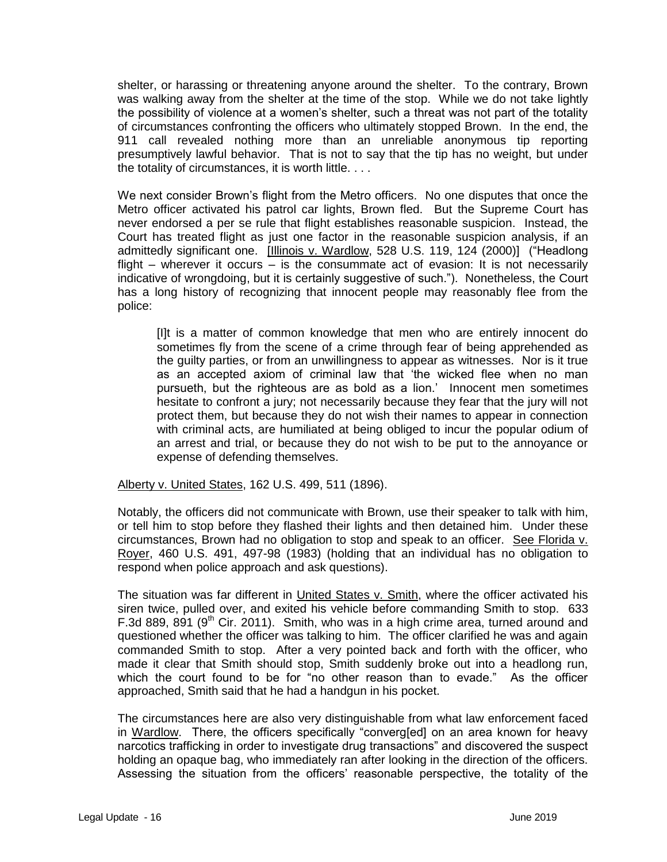shelter, or harassing or threatening anyone around the shelter. To the contrary, Brown was walking away from the shelter at the time of the stop. While we do not take lightly the possibility of violence at a women's shelter, such a threat was not part of the totality of circumstances confronting the officers who ultimately stopped Brown. In the end, the 911 call revealed nothing more than an unreliable anonymous tip reporting presumptively lawful behavior. That is not to say that the tip has no weight, but under the totality of circumstances, it is worth little. . . .

We next consider Brown's flight from the Metro officers. No one disputes that once the Metro officer activated his patrol car lights, Brown fled. But the Supreme Court has never endorsed a per se rule that flight establishes reasonable suspicion. Instead, the Court has treated flight as just one factor in the reasonable suspicion analysis, if an admittedly significant one. [Illinois v. Wardlow, 528 U.S. 119, 124 (2000)] ("Headlong flight – wherever it occurs  $\overline{-}$  is the consummate act of evasion: It is not necessarily indicative of wrongdoing, but it is certainly suggestive of such."). Nonetheless, the Court has a long history of recognizing that innocent people may reasonably flee from the police:

[I]t is a matter of common knowledge that men who are entirely innocent do sometimes fly from the scene of a crime through fear of being apprehended as the guilty parties, or from an unwillingness to appear as witnesses. Nor is it true as an accepted axiom of criminal law that 'the wicked flee when no man pursueth, but the righteous are as bold as a lion.' Innocent men sometimes hesitate to confront a jury; not necessarily because they fear that the jury will not protect them, but because they do not wish their names to appear in connection with criminal acts, are humiliated at being obliged to incur the popular odium of an arrest and trial, or because they do not wish to be put to the annoyance or expense of defending themselves.

Alberty v. United States, 162 U.S. 499, 511 (1896).

Notably, the officers did not communicate with Brown, use their speaker to talk with him, or tell him to stop before they flashed their lights and then detained him. Under these circumstances, Brown had no obligation to stop and speak to an officer. See Florida v. Royer, 460 U.S. 491, 497-98 (1983) (holding that an individual has no obligation to respond when police approach and ask questions).

The situation was far different in United States v. Smith, where the officer activated his siren twice, pulled over, and exited his vehicle before commanding Smith to stop. 633 F.3d 889, 891 (9<sup>th</sup> Cir. 2011). Smith, who was in a high crime area, turned around and questioned whether the officer was talking to him. The officer clarified he was and again commanded Smith to stop. After a very pointed back and forth with the officer, who made it clear that Smith should stop, Smith suddenly broke out into a headlong run, which the court found to be for "no other reason than to evade." As the officer approached, Smith said that he had a handgun in his pocket.

The circumstances here are also very distinguishable from what law enforcement faced in Wardlow. There, the officers specifically "converg[ed] on an area known for heavy narcotics trafficking in order to investigate drug transactions" and discovered the suspect holding an opaque bag, who immediately ran after looking in the direction of the officers. Assessing the situation from the officers' reasonable perspective, the totality of the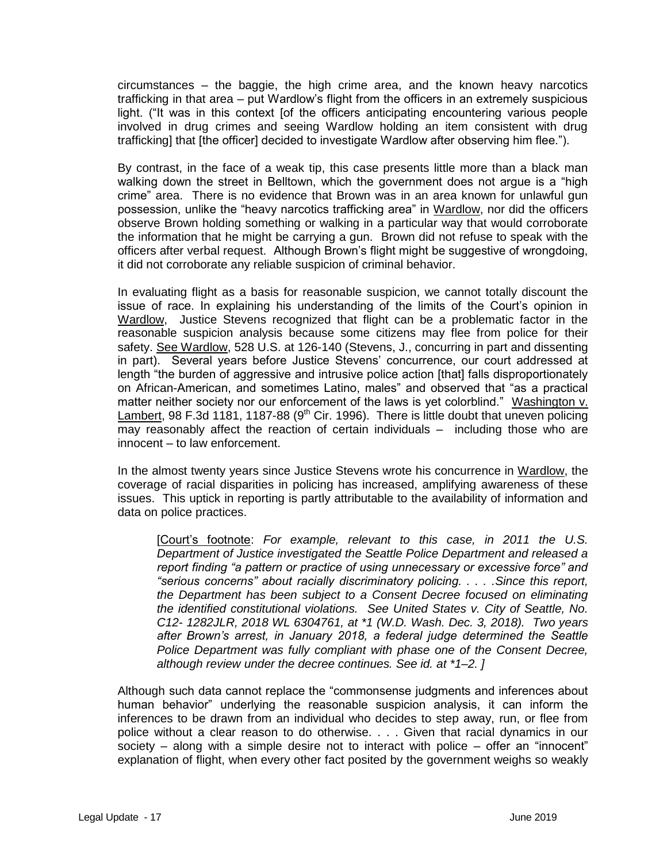circumstances – the baggie, the high crime area, and the known heavy narcotics trafficking in that area – put Wardlow's flight from the officers in an extremely suspicious light. ("It was in this context [of the officers anticipating encountering various people involved in drug crimes and seeing Wardlow holding an item consistent with drug trafficking] that [the officer] decided to investigate Wardlow after observing him flee.").

By contrast, in the face of a weak tip, this case presents little more than a black man walking down the street in Belltown, which the government does not argue is a "high crime" area. There is no evidence that Brown was in an area known for unlawful gun possession, unlike the "heavy narcotics trafficking area" in Wardlow, nor did the officers observe Brown holding something or walking in a particular way that would corroborate the information that he might be carrying a gun. Brown did not refuse to speak with the officers after verbal request. Although Brown's flight might be suggestive of wrongdoing, it did not corroborate any reliable suspicion of criminal behavior.

In evaluating flight as a basis for reasonable suspicion, we cannot totally discount the issue of race. In explaining his understanding of the limits of the Court's opinion in Wardlow, Justice Stevens recognized that flight can be a problematic factor in the reasonable suspicion analysis because some citizens may flee from police for their safety. See Wardlow, 528 U.S. at 126-140 (Stevens, J., concurring in part and dissenting in part). Several years before Justice Stevens' concurrence, our court addressed at length "the burden of aggressive and intrusive police action [that] falls disproportionately on African-American, and sometimes Latino, males" and observed that "as a practical matter neither society nor our enforcement of the laws is yet colorblind." Washington v. Lambert, 98 F.3d 1181, 1187-88 (9<sup>th</sup> Cir. 1996). There is little doubt that uneven policing may reasonably affect the reaction of certain individuals – including those who are innocent – to law enforcement.

In the almost twenty years since Justice Stevens wrote his concurrence in Wardlow, the coverage of racial disparities in policing has increased, amplifying awareness of these issues. This uptick in reporting is partly attributable to the availability of information and data on police practices.

[Court's footnote: *For example, relevant to this case, in 2011 the U.S. Department of Justice investigated the Seattle Police Department and released a report finding "a pattern or practice of using unnecessary or excessive force" and "serious concerns" about racially discriminatory policing. . . . .Since this report, the Department has been subject to a Consent Decree focused on eliminating the identified constitutional violations. See United States v. City of Seattle, No. C12- 1282JLR, 2018 WL 6304761, at \*1 (W.D. Wash. Dec. 3, 2018). Two years after Brown's arrest, in January 2018, a federal judge determined the Seattle Police Department was fully compliant with phase one of the Consent Decree, although review under the decree continues. See id. at \*1–2. ]*

Although such data cannot replace the "commonsense judgments and inferences about human behavior" underlying the reasonable suspicion analysis, it can inform the inferences to be drawn from an individual who decides to step away, run, or flee from police without a clear reason to do otherwise. . . . Given that racial dynamics in our society – along with a simple desire not to interact with police – offer an "innocent" explanation of flight, when every other fact posited by the government weighs so weakly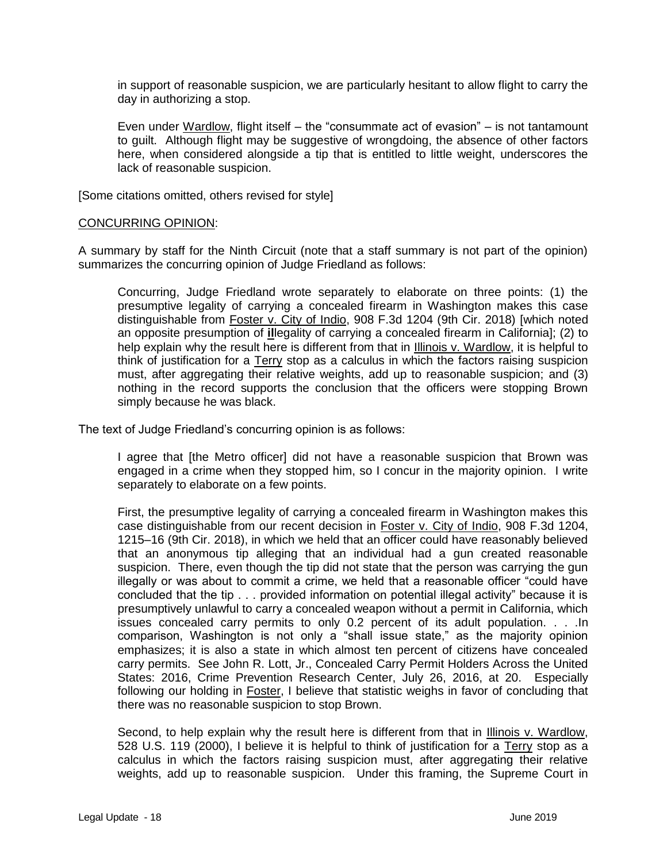in support of reasonable suspicion, we are particularly hesitant to allow flight to carry the day in authorizing a stop.

Even under Wardlow, flight itself – the "consummate act of evasion" – is not tantamount to guilt. Although flight may be suggestive of wrongdoing, the absence of other factors here, when considered alongside a tip that is entitled to little weight, underscores the lack of reasonable suspicion.

[Some citations omitted, others revised for style]

#### CONCURRING OPINION:

A summary by staff for the Ninth Circuit (note that a staff summary is not part of the opinion) summarizes the concurring opinion of Judge Friedland as follows:

Concurring, Judge Friedland wrote separately to elaborate on three points: (1) the presumptive legality of carrying a concealed firearm in Washington makes this case distinguishable from Foster v. City of Indio, 908 F.3d 1204 (9th Cir. 2018) [which noted an opposite presumption of **il**legality of carrying a concealed firearm in California]; (2) to help explain why the result here is different from that in Illinois v. Wardlow, it is helpful to think of justification for a Terry stop as a calculus in which the factors raising suspicion must, after aggregating their relative weights, add up to reasonable suspicion; and (3) nothing in the record supports the conclusion that the officers were stopping Brown simply because he was black.

The text of Judge Friedland's concurring opinion is as follows:

I agree that [the Metro officer] did not have a reasonable suspicion that Brown was engaged in a crime when they stopped him, so I concur in the majority opinion. I write separately to elaborate on a few points.

First, the presumptive legality of carrying a concealed firearm in Washington makes this case distinguishable from our recent decision in Foster v. City of Indio, 908 F.3d 1204, 1215–16 (9th Cir. 2018), in which we held that an officer could have reasonably believed that an anonymous tip alleging that an individual had a gun created reasonable suspicion. There, even though the tip did not state that the person was carrying the gun illegally or was about to commit a crime, we held that a reasonable officer "could have concluded that the tip . . . provided information on potential illegal activity" because it is presumptively unlawful to carry a concealed weapon without a permit in California, which issues concealed carry permits to only 0.2 percent of its adult population. . . .In comparison, Washington is not only a "shall issue state," as the majority opinion emphasizes; it is also a state in which almost ten percent of citizens have concealed carry permits. See John R. Lott, Jr., Concealed Carry Permit Holders Across the United States: 2016, Crime Prevention Research Center, July 26, 2016, at 20. Especially following our holding in Foster, I believe that statistic weighs in favor of concluding that there was no reasonable suspicion to stop Brown.

Second, to help explain why the result here is different from that in Illinois v. Wardlow, 528 U.S. 119 (2000), I believe it is helpful to think of justification for a Terry stop as a calculus in which the factors raising suspicion must, after aggregating their relative weights, add up to reasonable suspicion. Under this framing, the Supreme Court in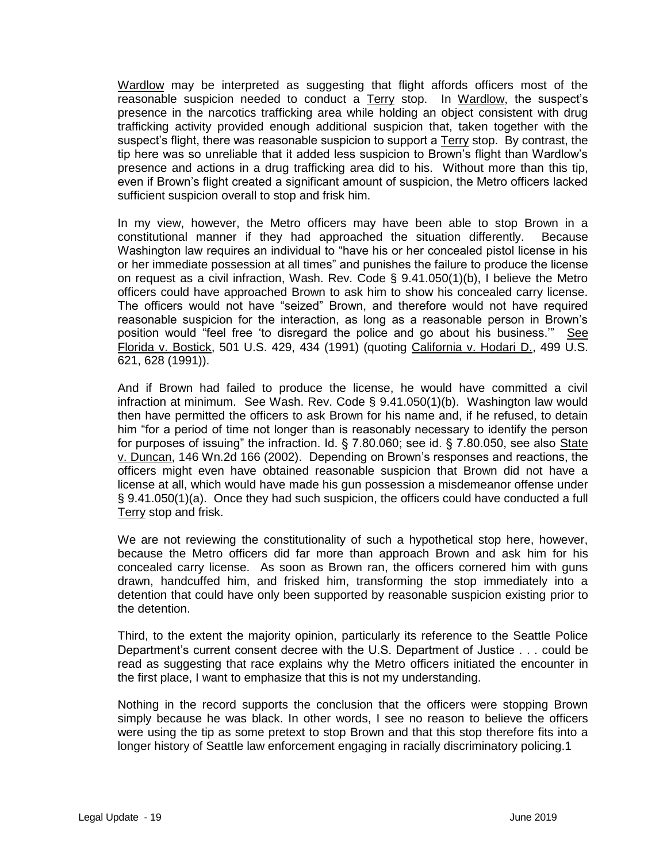Wardlow may be interpreted as suggesting that flight affords officers most of the reasonable suspicion needed to conduct a Terry stop. In Wardlow, the suspect's presence in the narcotics trafficking area while holding an object consistent with drug trafficking activity provided enough additional suspicion that, taken together with the suspect's flight, there was reasonable suspicion to support a Terry stop. By contrast, the tip here was so unreliable that it added less suspicion to Brown's flight than Wardlow's presence and actions in a drug trafficking area did to his. Without more than this tip, even if Brown's flight created a significant amount of suspicion, the Metro officers lacked sufficient suspicion overall to stop and frisk him.

In my view, however, the Metro officers may have been able to stop Brown in a constitutional manner if they had approached the situation differently. Because Washington law requires an individual to "have his or her concealed pistol license in his or her immediate possession at all times" and punishes the failure to produce the license on request as a civil infraction, Wash. Rev. Code § 9.41.050(1)(b), I believe the Metro officers could have approached Brown to ask him to show his concealed carry license. The officers would not have "seized" Brown, and therefore would not have required reasonable suspicion for the interaction, as long as a reasonable person in Brown's position would "feel free 'to disregard the police and go about his business.'" See Florida v. Bostick, 501 U.S. 429, 434 (1991) (quoting California v. Hodari D., 499 U.S. 621, 628 (1991)).

And if Brown had failed to produce the license, he would have committed a civil infraction at minimum. See Wash. Rev. Code § 9.41.050(1)(b). Washington law would then have permitted the officers to ask Brown for his name and, if he refused, to detain him "for a period of time not longer than is reasonably necessary to identify the person for purposes of issuing" the infraction. Id.  $\S$  7.80.060; see id.  $\S$  7.80.050, see also State v. Duncan, 146 Wn.2d 166 (2002). Depending on Brown's responses and reactions, the officers might even have obtained reasonable suspicion that Brown did not have a license at all, which would have made his gun possession a misdemeanor offense under § 9.41.050(1)(a). Once they had such suspicion, the officers could have conducted a full Terry stop and frisk.

We are not reviewing the constitutionality of such a hypothetical stop here, however, because the Metro officers did far more than approach Brown and ask him for his concealed carry license. As soon as Brown ran, the officers cornered him with guns drawn, handcuffed him, and frisked him, transforming the stop immediately into a detention that could have only been supported by reasonable suspicion existing prior to the detention.

Third, to the extent the majority opinion, particularly its reference to the Seattle Police Department's current consent decree with the U.S. Department of Justice . . . could be read as suggesting that race explains why the Metro officers initiated the encounter in the first place, I want to emphasize that this is not my understanding.

Nothing in the record supports the conclusion that the officers were stopping Brown simply because he was black. In other words, I see no reason to believe the officers were using the tip as some pretext to stop Brown and that this stop therefore fits into a longer history of Seattle law enforcement engaging in racially discriminatory policing.1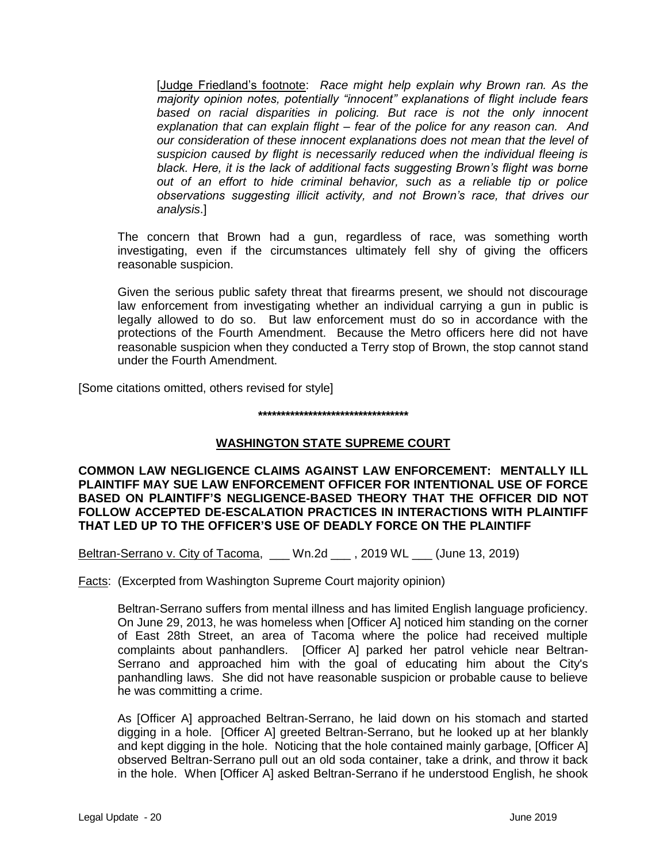[Judge Friedland's footnote: *Race might help explain why Brown ran. As the majority opinion notes, potentially "innocent" explanations of flight include fears based on racial disparities in policing. But race is not the only innocent explanation that can explain flight* – *fear of the police for any reason can. And our consideration of these innocent explanations does not mean that the level of suspicion caused by flight is necessarily reduced when the individual fleeing is black. Here, it is the lack of additional facts suggesting Brown's flight was borne out of an effort to hide criminal behavior, such as a reliable tip or police observations suggesting illicit activity, and not Brown's race, that drives our analysis*.]

The concern that Brown had a gun, regardless of race, was something worth investigating, even if the circumstances ultimately fell shy of giving the officers reasonable suspicion.

Given the serious public safety threat that firearms present, we should not discourage law enforcement from investigating whether an individual carrying a gun in public is legally allowed to do so. But law enforcement must do so in accordance with the protections of the Fourth Amendment. Because the Metro officers here did not have reasonable suspicion when they conducted a Terry stop of Brown, the stop cannot stand under the Fourth Amendment.

[Some citations omitted, others revised for style]

# **\*\*\*\*\*\*\*\*\*\*\*\*\*\*\*\*\*\*\*\*\*\*\*\*\*\*\*\*\*\*\*\*\***

# **WASHINGTON STATE SUPREME COURT**

**COMMON LAW NEGLIGENCE CLAIMS AGAINST LAW ENFORCEMENT: MENTALLY ILL PLAINTIFF MAY SUE LAW ENFORCEMENT OFFICER FOR INTENTIONAL USE OF FORCE BASED ON PLAINTIFF'S NEGLIGENCE-BASED THEORY THAT THE OFFICER DID NOT FOLLOW ACCEPTED DE-ESCALATION PRACTICES IN INTERACTIONS WITH PLAINTIFF THAT LED UP TO THE OFFICER'S USE OF DEADLY FORCE ON THE PLAINTIFF**

Beltran-Serrano v. City of Tacoma, Wn.2d , 2019 WL (June 13, 2019)

Facts: (Excerpted from Washington Supreme Court majority opinion)

Beltran-Serrano suffers from mental illness and has limited English language proficiency. On June 29, 2013, he was homeless when [Officer A] noticed him standing on the corner of East 28th Street, an area of Tacoma where the police had received multiple complaints about panhandlers. [Officer A] parked her patrol vehicle near Beltran-Serrano and approached him with the goal of educating him about the City's panhandling laws. She did not have reasonable suspicion or probable cause to believe he was committing a crime.

As [Officer A] approached Beltran-Serrano, he laid down on his stomach and started digging in a hole. [Officer A] greeted Beltran-Serrano, but he looked up at her blankly and kept digging in the hole. Noticing that the hole contained mainly garbage, [Officer A] observed Beltran-Serrano pull out an old soda container, take a drink, and throw it back in the hole. When [Officer A] asked Beltran-Serrano if he understood English, he shook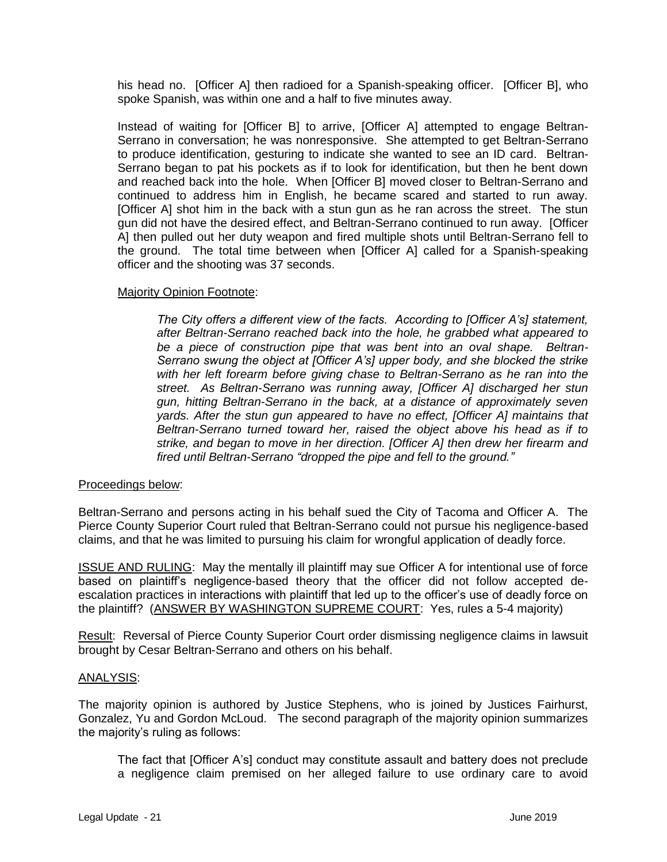his head no. [Officer A] then radioed for a Spanish-speaking officer. [Officer B], who spoke Spanish, was within one and a half to five minutes away.

Instead of waiting for [Officer B] to arrive, [Officer A] attempted to engage Beltran-Serrano in conversation; he was nonresponsive. She attempted to get Beltran-Serrano to produce identification, gesturing to indicate she wanted to see an ID card. Beltran-Serrano began to pat his pockets as if to look for identification, but then he bent down and reached back into the hole. When [Officer B] moved closer to Beltran-Serrano and continued to address him in English, he became scared and started to run away. [Officer A] shot him in the back with a stun gun as he ran across the street. The stun gun did not have the desired effect, and Beltran-Serrano continued to run away. [Officer A] then pulled out her duty weapon and fired multiple shots until Beltran-Serrano fell to the ground. The total time between when [Officer A] called for a Spanish-speaking officer and the shooting was 37 seconds.

# Majority Opinion Footnote:

*The City offers a different view of the facts. According to [Officer A's] statement, after Beltran-Serrano reached back into the hole, he grabbed what appeared to be a piece of construction pipe that was bent into an oval shape. Beltran-Serrano swung the object at [Officer A's] upper body, and she blocked the strike*  with her left forearm before giving chase to Beltran-Serrano as he ran into the *street. As Beltran-Serrano was running away, [Officer A] discharged her stun gun, hitting Beltran-Serrano in the back, at a distance of approximately seven yards. After the stun gun appeared to have no effect, [Officer A] maintains that Beltran-Serrano turned toward her, raised the object above his head as if to strike, and began to move in her direction. [Officer A] then drew her firearm and fired until Beltran-Serrano "dropped the pipe and fell to the ground."*

### Proceedings below:

Beltran-Serrano and persons acting in his behalf sued the City of Tacoma and Officer A. The Pierce County Superior Court ruled that Beltran-Serrano could not pursue his negligence-based claims, and that he was limited to pursuing his claim for wrongful application of deadly force.

ISSUE AND RULING: May the mentally ill plaintiff may sue Officer A for intentional use of force based on plaintiff's negligence-based theory that the officer did not follow accepted deescalation practices in interactions with plaintiff that led up to the officer's use of deadly force on the plaintiff? (ANSWER BY WASHINGTON SUPREME COURT: Yes, rules a 5-4 majority)

Result: Reversal of Pierce County Superior Court order dismissing negligence claims in lawsuit brought by Cesar Beltran-Serrano and others on his behalf.

### ANALYSIS:

The majority opinion is authored by Justice Stephens, who is joined by Justices Fairhurst, Gonzalez, Yu and Gordon McLoud. The second paragraph of the majority opinion summarizes the majority's ruling as follows:

The fact that [Officer A's] conduct may constitute assault and battery does not preclude a negligence claim premised on her alleged failure to use ordinary care to avoid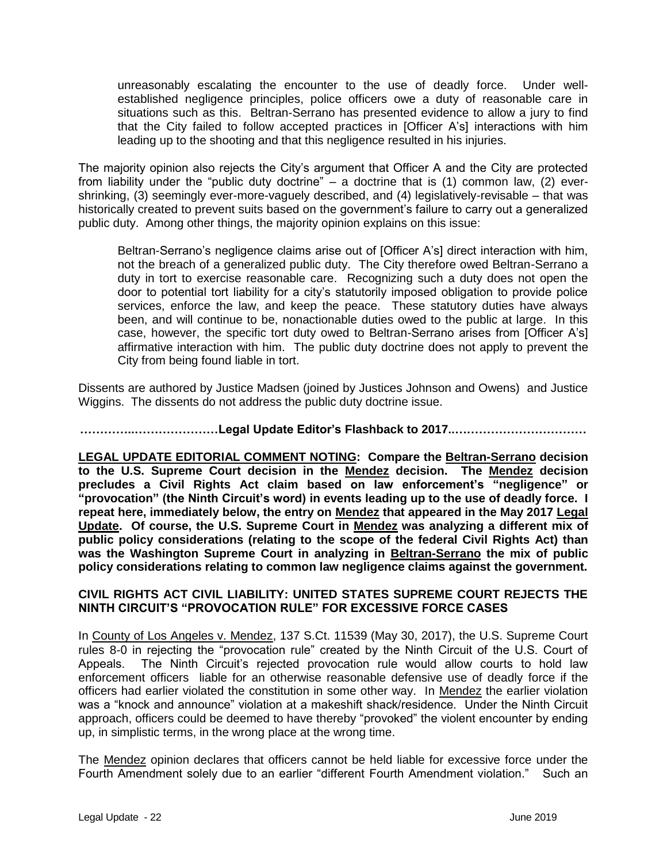unreasonably escalating the encounter to the use of deadly force. Under wellestablished negligence principles, police officers owe a duty of reasonable care in situations such as this. Beltran-Serrano has presented evidence to allow a jury to find that the City failed to follow accepted practices in [Officer A's] interactions with him leading up to the shooting and that this negligence resulted in his injuries.

The majority opinion also rejects the City's argument that Officer A and the City are protected from liability under the "public duty doctrine" – a doctrine that is  $(1)$  common law,  $(2)$  evershrinking, (3) seemingly ever-more-vaguely described, and (4) legislatively-revisable – that was historically created to prevent suits based on the government's failure to carry out a generalized public duty. Among other things, the majority opinion explains on this issue:

Beltran-Serrano's negligence claims arise out of [Officer A's] direct interaction with him, not the breach of a generalized public duty. The City therefore owed Beltran-Serrano a duty in tort to exercise reasonable care. Recognizing such a duty does not open the door to potential tort liability for a city's statutorily imposed obligation to provide police services, enforce the law, and keep the peace. These statutory duties have always been, and will continue to be, nonactionable duties owed to the public at large. In this case, however, the specific tort duty owed to Beltran-Serrano arises from [Officer A's] affirmative interaction with him. The public duty doctrine does not apply to prevent the City from being found liable in tort.

Dissents are authored by Justice Madsen (joined by Justices Johnson and Owens) and Justice Wiggins. The dissents do not address the public duty doctrine issue.

**…………..…………………Legal Update Editor's Flashback to 2017..……………………………**

**LEGAL UPDATE EDITORIAL COMMENT NOTING: Compare the Beltran-Serrano decision to the U.S. Supreme Court decision in the Mendez decision. The Mendez decision precludes a Civil Rights Act claim based on law enforcement's "negligence" or "provocation" (the Ninth Circuit's word) in events leading up to the use of deadly force. I repeat here, immediately below, the entry on Mendez that appeared in the May 2017 Legal Update. Of course, the U.S. Supreme Court in Mendez was analyzing a different mix of public policy considerations (relating to the scope of the federal Civil Rights Act) than was the Washington Supreme Court in analyzing in Beltran-Serrano the mix of public policy considerations relating to common law negligence claims against the government.** 

# **CIVIL RIGHTS ACT CIVIL LIABILITY: UNITED STATES SUPREME COURT REJECTS THE NINTH CIRCUIT'S "PROVOCATION RULE" FOR EXCESSIVE FORCE CASES**

In County of Los Angeles v. Mendez, 137 S.Ct. 11539 (May 30, 2017), the U.S. Supreme Court rules 8-0 in rejecting the "provocation rule" created by the Ninth Circuit of the U.S. Court of Appeals. The Ninth Circuit's rejected provocation rule would allow courts to hold law enforcement officers liable for an otherwise reasonable defensive use of deadly force if the officers had earlier violated the constitution in some other way. In Mendez the earlier violation was a "knock and announce" violation at a makeshift shack/residence. Under the Ninth Circuit approach, officers could be deemed to have thereby "provoked" the violent encounter by ending up, in simplistic terms, in the wrong place at the wrong time.

The Mendez opinion declares that officers cannot be held liable for excessive force under the Fourth Amendment solely due to an earlier "different Fourth Amendment violation." Such an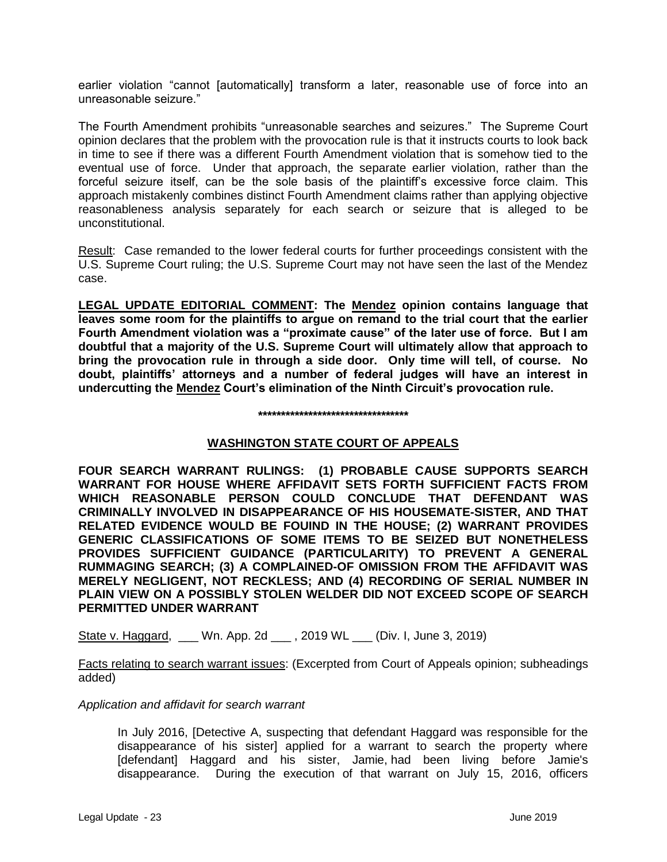earlier violation "cannot [automatically] transform a later, reasonable use of force into an unreasonable seizure."

The Fourth Amendment prohibits "unreasonable searches and seizures." The Supreme Court opinion declares that the problem with the provocation rule is that it instructs courts to look back in time to see if there was a different Fourth Amendment violation that is somehow tied to the eventual use of force. Under that approach, the separate earlier violation, rather than the forceful seizure itself, can be the sole basis of the plaintiff's excessive force claim. This approach mistakenly combines distinct Fourth Amendment claims rather than applying objective reasonableness analysis separately for each search or seizure that is alleged to be unconstitutional.

Result: Case remanded to the lower federal courts for further proceedings consistent with the U.S. Supreme Court ruling; the U.S. Supreme Court may not have seen the last of the Mendez case.

**LEGAL UPDATE EDITORIAL COMMENT: The Mendez opinion contains language that leaves some room for the plaintiffs to argue on remand to the trial court that the earlier Fourth Amendment violation was a "proximate cause" of the later use of force. But I am doubtful that a majority of the U.S. Supreme Court will ultimately allow that approach to bring the provocation rule in through a side door. Only time will tell, of course. No doubt, plaintiffs' attorneys and a number of federal judges will have an interest in undercutting the Mendez Court's elimination of the Ninth Circuit's provocation rule.**

#### **\*\*\*\*\*\*\*\*\*\*\*\*\*\*\*\*\*\*\*\*\*\*\*\*\*\*\*\*\*\*\*\*\***

# **WASHINGTON STATE COURT OF APPEALS**

**FOUR SEARCH WARRANT RULINGS: (1) PROBABLE CAUSE SUPPORTS SEARCH WARRANT FOR HOUSE WHERE AFFIDAVIT SETS FORTH SUFFICIENT FACTS FROM WHICH REASONABLE PERSON COULD CONCLUDE THAT DEFENDANT WAS CRIMINALLY INVOLVED IN DISAPPEARANCE OF HIS HOUSEMATE-SISTER, AND THAT RELATED EVIDENCE WOULD BE FOUIND IN THE HOUSE; (2) WARRANT PROVIDES GENERIC CLASSIFICATIONS OF SOME ITEMS TO BE SEIZED BUT NONETHELESS PROVIDES SUFFICIENT GUIDANCE (PARTICULARITY) TO PREVENT A GENERAL RUMMAGING SEARCH; (3) A COMPLAINED-OF OMISSION FROM THE AFFIDAVIT WAS MERELY NEGLIGENT, NOT RECKLESS; AND (4) RECORDING OF SERIAL NUMBER IN PLAIN VIEW ON A POSSIBLY STOLEN WELDER DID NOT EXCEED SCOPE OF SEARCH PERMITTED UNDER WARRANT**

State v. Haggard, \_\_\_ Wn. App. 2d \_\_\_, 2019 WL \_\_\_ (Div. I, June 3, 2019)

Facts relating to search warrant issues: (Excerpted from Court of Appeals opinion; subheadings added)

### *Application and affidavit for search warrant*

In July 2016, [Detective A, suspecting that defendant Haggard was responsible for the disappearance of his sister] applied for a warrant to search the property where [defendant] Haggard and his sister, Jamie, had been living before Jamie's disappearance. During the execution of that warrant on July 15, 2016, officers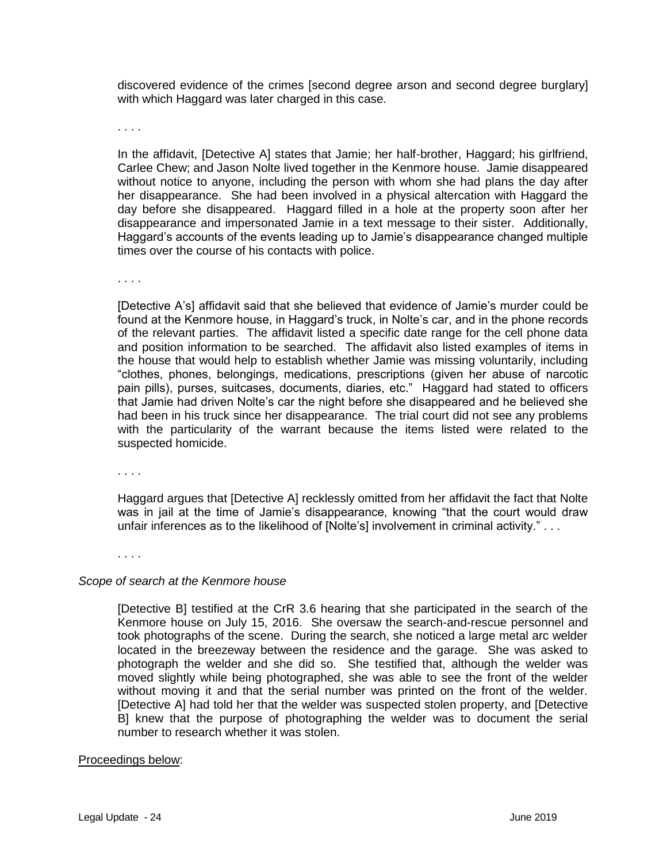discovered evidence of the crimes [second degree arson and second degree burglary] with which Haggard was later charged in this case.

. . . .

In the affidavit, [Detective A] states that Jamie; her half-brother, Haggard; his girlfriend, Carlee Chew; and Jason Nolte lived together in the Kenmore house. Jamie disappeared without notice to anyone, including the person with whom she had plans the day after her disappearance. She had been involved in a physical altercation with Haggard the day before she disappeared. Haggard filled in a hole at the property soon after her disappearance and impersonated Jamie in a text message to their sister. Additionally, Haggard's accounts of the events leading up to Jamie's disappearance changed multiple times over the course of his contacts with police.

. . . .

[Detective A's] affidavit said that she believed that evidence of Jamie's murder could be found at the Kenmore house, in Haggard's truck, in Nolte's car, and in the phone records of the relevant parties. The affidavit listed a specific date range for the cell phone data and position information to be searched. The affidavit also listed examples of items in the house that would help to establish whether Jamie was missing voluntarily, including "clothes, phones, belongings, medications, prescriptions (given her abuse of narcotic pain pills), purses, suitcases, documents, diaries, etc." Haggard had stated to officers that Jamie had driven Nolte's car the night before she disappeared and he believed she had been in his truck since her disappearance. The trial court did not see any problems with the particularity of the warrant because the items listed were related to the suspected homicide.

. . . .

Haggard argues that [Detective A] recklessly omitted from her affidavit the fact that Nolte was in jail at the time of Jamie's disappearance, knowing "that the court would draw unfair inferences as to the likelihood of [Nolte's] involvement in criminal activity." . . .

. . . .

#### *Scope of search at the Kenmore house*

[Detective B] testified at the CrR 3.6 hearing that she participated in the search of the Kenmore house on July 15, 2016. She oversaw the search-and-rescue personnel and took photographs of the scene. During the search, she noticed a large metal arc welder located in the breezeway between the residence and the garage. She was asked to photograph the welder and she did so. She testified that, although the welder was moved slightly while being photographed, she was able to see the front of the welder without moving it and that the serial number was printed on the front of the welder. [Detective A] had told her that the welder was suspected stolen property, and [Detective B] knew that the purpose of photographing the welder was to document the serial number to research whether it was stolen.

#### Proceedings below: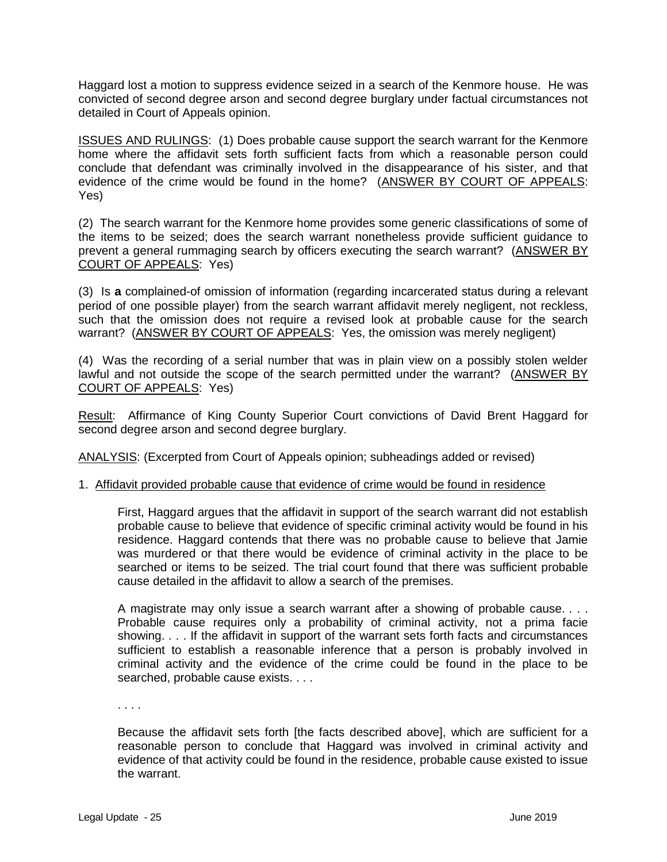Haggard lost a motion to suppress evidence seized in a search of the Kenmore house. He was convicted of second degree arson and second degree burglary under factual circumstances not detailed in Court of Appeals opinion.

ISSUES AND RULINGS: (1) Does probable cause support the search warrant for the Kenmore home where the affidavit sets forth sufficient facts from which a reasonable person could conclude that defendant was criminally involved in the disappearance of his sister, and that evidence of the crime would be found in the home? (ANSWER BY COURT OF APPEALS: Yes)

(2) The search warrant for the Kenmore home provides some generic classifications of some of the items to be seized; does the search warrant nonetheless provide sufficient guidance to prevent a general rummaging search by officers executing the search warrant? (ANSWER BY COURT OF APPEALS: Yes)

(3) Is **a** complained-of omission of information (regarding incarcerated status during a relevant period of one possible player) from the search warrant affidavit merely negligent, not reckless, such that the omission does not require a revised look at probable cause for the search warrant? (ANSWER BY COURT OF APPEALS: Yes, the omission was merely negligent)

(4) Was the recording of a serial number that was in plain view on a possibly stolen welder lawful and not outside the scope of the search permitted under the warrant? (ANSWER BY COURT OF APPEALS: Yes)

Result: Affirmance of King County Superior Court convictions of David Brent Haggard for second degree arson and second degree burglary.

ANALYSIS: (Excerpted from Court of Appeals opinion; subheadings added or revised)

### 1. Affidavit provided probable cause that evidence of crime would be found in residence

First, Haggard argues that the affidavit in support of the search warrant did not establish probable cause to believe that evidence of specific criminal activity would be found in his residence. Haggard contends that there was no probable cause to believe that Jamie was murdered or that there would be evidence of criminal activity in the place to be searched or items to be seized. The trial court found that there was sufficient probable cause detailed in the affidavit to allow a search of the premises.

A magistrate may only issue a search warrant after a showing of probable cause. . . . Probable cause requires only a probability of criminal activity, not a prima facie showing. . . . If the affidavit in support of the warrant sets forth facts and circumstances sufficient to establish a reasonable inference that a person is probably involved in criminal activity and the evidence of the crime could be found in the place to be searched, probable cause exists. . . .

. . . .

Because the affidavit sets forth [the facts described above], which are sufficient for a reasonable person to conclude that Haggard was involved in criminal activity and evidence of that activity could be found in the residence, probable cause existed to issue the warrant.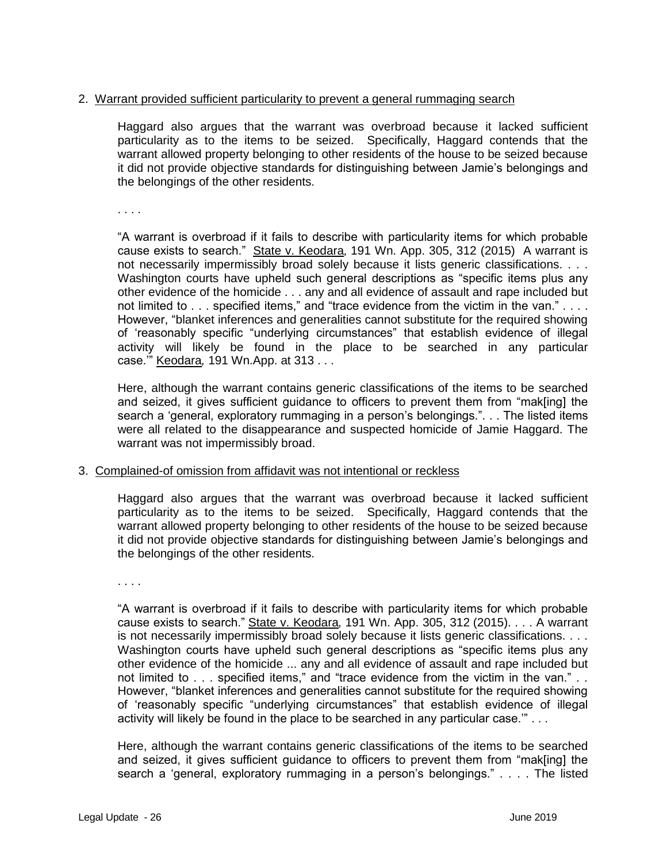# 2. Warrant provided sufficient particularity to prevent a general rummaging search

Haggard also argues that the warrant was overbroad because it lacked sufficient particularity as to the items to be seized. Specifically, Haggard contends that the warrant allowed property belonging to other residents of the house to be seized because it did not provide objective standards for distinguishing between Jamie's belongings and the belongings of the other residents.

. . . .

"A warrant is overbroad if it fails to describe with particularity items for which probable cause exists to search." State v. Keodara*,* 191 Wn. [App. 305,](http://lawriter.net/getCitState.aspx?series=Wn.App.&citationno=191+Wn.App.+305&scd=WA) 312 (2015) A warrant is not necessarily impermissibly broad solely because it lists generic classifications. . . . Washington courts have upheld such general descriptions as "specific items plus any other evidence of the homicide . . . any and all evidence of assault and rape included but not limited to . . . specified items," and "trace evidence from the victim in the van." . . . . However, "blanket inferences and generalities cannot substitute for the required showing of 'reasonably specific "underlying circumstances" that establish evidence of illegal activity will likely be found in the place to be searched in any particular case.'" Keodara*,* 191 Wn.App. at 313 . . .

Here, although the warrant contains generic classifications of the items to be searched and seized, it gives sufficient guidance to officers to prevent them from "mak[ing] the search a 'general, exploratory rummaging in a person's belongings.". . . The listed items were all related to the disappearance and suspected homicide of Jamie Haggard. The warrant was not impermissibly broad.

### 3. Complained-of omission from affidavit was not intentional or reckless

Haggard also argues that the warrant was overbroad because it lacked sufficient particularity as to the items to be seized. Specifically, Haggard contends that the warrant allowed property belonging to other residents of the house to be seized because it did not provide objective standards for distinguishing between Jamie's belongings and the belongings of the other residents.

. . . .

"A warrant is overbroad if it fails to describe with particularity items for which probable cause exists to search." State v. Keodara*,* [191 Wn. App. 305,](http://lawriter.net/getCitState.aspx?series=Wn.App.&citationno=191+Wn.App.+305&scd=WA) 312 (2015). . . . A warrant is not necessarily impermissibly broad solely because it lists generic classifications. . . . Washington courts have upheld such general descriptions as "specific items plus any other evidence of the homicide ... any and all evidence of assault and rape included but not limited to . . . specified items," and "trace evidence from the victim in the van." . . However, "blanket inferences and generalities cannot substitute for the required showing of 'reasonably specific "underlying circumstances" that establish evidence of illegal activity will likely be found in the place to be searched in any particular case.'" . . .

Here, although the warrant contains generic classifications of the items to be searched and seized, it gives sufficient guidance to officers to prevent them from "mak[ing] the search a 'general, exploratory rummaging in a person's belongings." . . . . The listed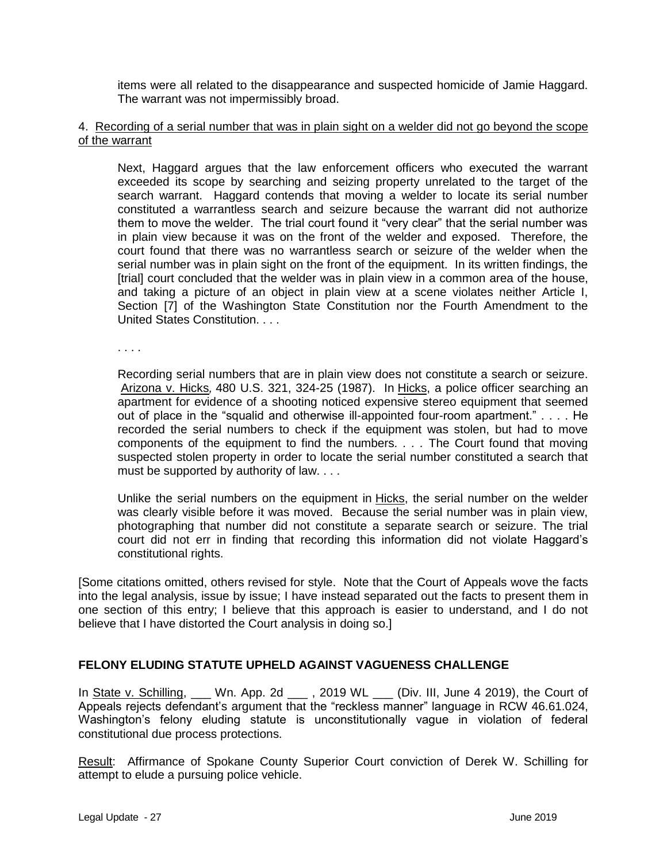items were all related to the disappearance and suspected homicide of Jamie Haggard. The warrant was not impermissibly broad.

## 4. Recording of a serial number that was in plain sight on a welder did not go beyond the scope of the warrant

Next, Haggard argues that the law enforcement officers who executed the warrant exceeded its scope by searching and seizing property unrelated to the target of the search warrant. Haggard contends that moving a welder to locate its serial number constituted a warrantless search and seizure because the warrant did not authorize them to move the welder. The trial court found it "very clear" that the serial number was in plain view because it was on the front of the welder and exposed. Therefore, the court found that there was no warrantless search or seizure of the welder when the serial number was in plain sight on the front of the equipment. In its written findings, the [trial] court concluded that the welder was in plain view in a common area of the house, and taking a picture of an object in plain view at a scene violates neither Article I, Section [7] of the Washington State Constitution nor the Fourth Amendment to the United States Constitution. . . .

. . . .

Recording serial numbers that are in plain view does not constitute a search or seizure. Arizona v. Hicks*,* [480 U.S. 321,](http://lawriter.net/getCitState.aspx?series=U.S.&citationno=480+U.S.+321&scd=WA) 324-25 (1987). In Hicks, a police officer searching an apartment for evidence of a shooting noticed expensive stereo equipment that seemed out of place in the "squalid and otherwise ill-appointed four-room apartment." . . . . He recorded the serial numbers to check if the equipment was stolen, but had to move components of the equipment to find the numbers*. . . .* The Court found that moving suspected stolen property in order to locate the serial number constituted a search that must be supported by authority of law. . . .

Unlike the serial numbers on the equipment in Hicks, the serial number on the welder was clearly visible before it was moved. Because the serial number was in plain view, photographing that number did not constitute a separate search or seizure. The trial court did not err in finding that recording this information did not violate Haggard's constitutional rights.

[Some citations omitted, others revised for style. Note that the Court of Appeals wove the facts into the legal analysis, issue by issue; I have instead separated out the facts to present them in one section of this entry; I believe that this approach is easier to understand, and I do not believe that I have distorted the Court analysis in doing so.]

# **FELONY ELUDING STATUTE UPHELD AGAINST VAGUENESS CHALLENGE**

In State v. Schilling, Wn. App. 2d 2019 WL 2019 WL All, June 4 2019), the Court of Appeals rejects defendant's argument that the "reckless manner" language in RCW 46.61.024, Washington's felony eluding statute is unconstitutionally vague in violation of federal constitutional due process protections.

Result: Affirmance of Spokane County Superior Court conviction of Derek W. Schilling for attempt to elude a pursuing police vehicle.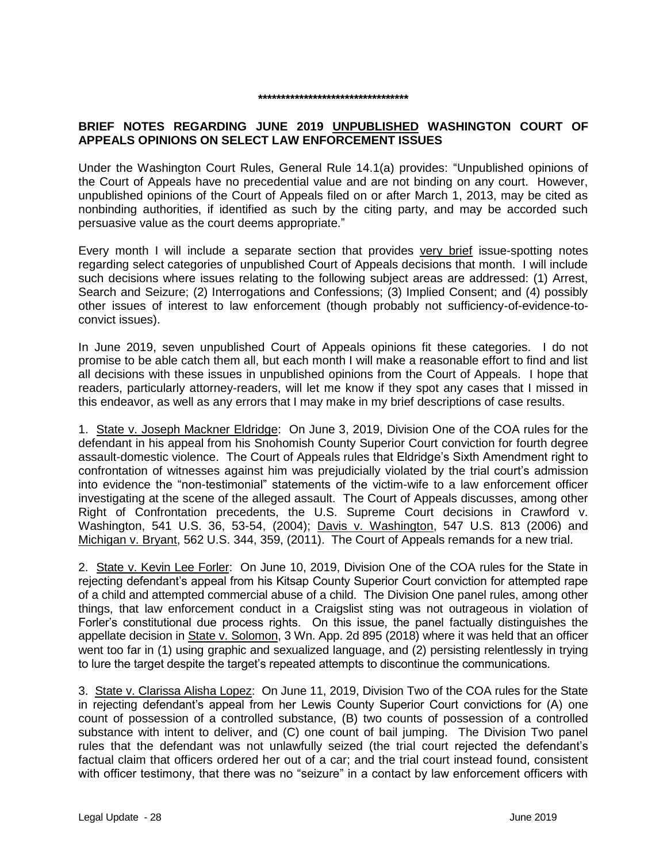# **BRIEF NOTES REGARDING JUNE 2019 UNPUBLISHED WASHINGTON COURT OF APPEALS OPINIONS ON SELECT LAW ENFORCEMENT ISSUES**

**\*\*\*\*\*\*\*\*\*\*\*\*\*\*\*\*\*\*\*\*\*\*\*\*\*\*\*\*\*\*\*\*\***

Under the Washington Court Rules, General Rule 14.1(a) provides: "Unpublished opinions of the Court of Appeals have no precedential value and are not binding on any court. However, unpublished opinions of the Court of Appeals filed on or after March 1, 2013, may be cited as nonbinding authorities, if identified as such by the citing party, and may be accorded such persuasive value as the court deems appropriate."

Every month I will include a separate section that provides very brief issue-spotting notes regarding select categories of unpublished Court of Appeals decisions that month. I will include such decisions where issues relating to the following subject areas are addressed: (1) Arrest, Search and Seizure; (2) Interrogations and Confessions; (3) Implied Consent; and (4) possibly other issues of interest to law enforcement (though probably not sufficiency-of-evidence-toconvict issues).

In June 2019, seven unpublished Court of Appeals opinions fit these categories. I do not promise to be able catch them all, but each month I will make a reasonable effort to find and list all decisions with these issues in unpublished opinions from the Court of Appeals. I hope that readers, particularly attorney-readers, will let me know if they spot any cases that I missed in this endeavor, as well as any errors that I may make in my brief descriptions of case results.

1. State v. Joseph Mackner Eldridge: On June 3, 2019, Division One of the COA rules for the defendant in his appeal from his Snohomish County Superior Court conviction for fourth degree assault-domestic violence. The Court of Appeals rules that Eldridge's Sixth Amendment right to confrontation of witnesses against him was prejudicially violated by the trial court's admission into evidence the "non-testimonial" statements of the victim-wife to a law enforcement officer investigating at the scene of the alleged assault. The Court of Appeals discusses, among other Right of Confrontation precedents, the U.S. Supreme Court decisions in Crawford v. Washington, 541 U.S. 36, 53-54, (2004); Davis v. Washington, 547 U.S. 813 (2006) and Michigan v. Bryant, 562 U.S. 344, 359, (2011). The Court of Appeals remands for a new trial.

2. State v. Kevin Lee Forler: On June 10, 2019, Division One of the COA rules for the State in rejecting defendant's appeal from his Kitsap County Superior Court conviction for attempted rape of a child and attempted commercial abuse of a child. The Division One panel rules, among other things, that law enforcement conduct in a Craigslist sting was not outrageous in violation of Forler's constitutional due process rights. On this issue, the panel factually distinguishes the appellate decision in State v. Solomon, 3 Wn. App. 2d 895 (2018) where it was held that an officer went too far in (1) using graphic and sexualized language, and (2) persisting relentlessly in trying to lure the target despite the target's repeated attempts to discontinue the communications.

3. State v. Clarissa Alisha Lopez: On June 11, 2019, Division Two of the COA rules for the State in rejecting defendant's appeal from her Lewis County Superior Court convictions for (A) one count of possession of a controlled substance, (B) two counts of possession of a controlled substance with intent to deliver, and (C) one count of bail jumping. The Division Two panel rules that the defendant was not unlawfully seized (the trial court rejected the defendant's factual claim that officers ordered her out of a car; and the trial court instead found, consistent with officer testimony, that there was no "seizure" in a contact by law enforcement officers with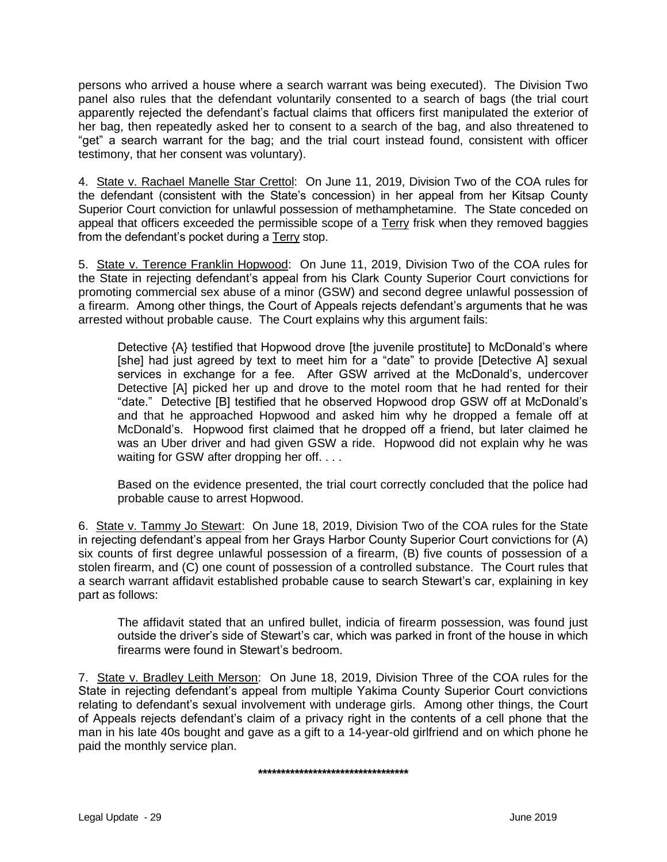persons who arrived a house where a search warrant was being executed). The Division Two panel also rules that the defendant voluntarily consented to a search of bags (the trial court apparently rejected the defendant's factual claims that officers first manipulated the exterior of her bag, then repeatedly asked her to consent to a search of the bag, and also threatened to "get" a search warrant for the bag; and the trial court instead found, consistent with officer testimony, that her consent was voluntary).

4. State v. Rachael Manelle Star Crettol: On June 11, 2019, Division Two of the COA rules for the defendant (consistent with the State's concession) in her appeal from her Kitsap County Superior Court conviction for unlawful possession of methamphetamine. The State conceded on appeal that officers exceeded the permissible scope of a Terry frisk when they removed baggies from the defendant's pocket during a Terry stop.

5. State v. Terence Franklin Hopwood: On June 11, 2019, Division Two of the COA rules for the State in rejecting defendant's appeal from his Clark County Superior Court convictions for promoting commercial sex abuse of a minor (GSW) and second degree unlawful possession of a firearm. Among other things, the Court of Appeals rejects defendant's arguments that he was arrested without probable cause. The Court explains why this argument fails:

Detective {A} testified that Hopwood drove [the juvenile prostitute] to McDonald's where [she] had just agreed by text to meet him for a "date" to provide [Detective A] sexual services in exchange for a fee. After GSW arrived at the McDonald's, undercover Detective [A] picked her up and drove to the motel room that he had rented for their "date." Detective [B] testified that he observed Hopwood drop GSW off at McDonald's and that he approached Hopwood and asked him why he dropped a female off at McDonald's. Hopwood first claimed that he dropped off a friend, but later claimed he was an Uber driver and had given GSW a ride. Hopwood did not explain why he was waiting for GSW after dropping her off....

Based on the evidence presented, the trial court correctly concluded that the police had probable cause to arrest Hopwood.

6. State v. Tammy Jo Stewart: On June 18, 2019, Division Two of the COA rules for the State in rejecting defendant's appeal from her Grays Harbor County Superior Court convictions for (A) six counts of first degree unlawful possession of a firearm, (B) five counts of possession of a stolen firearm, and (C) one count of possession of a controlled substance. The Court rules that a search warrant affidavit established probable cause to search Stewart's car, explaining in key part as follows:

The affidavit stated that an unfired bullet, indicia of firearm possession, was found just outside the driver's side of Stewart's car, which was parked in front of the house in which firearms were found in Stewart's bedroom.

7. State v. Bradley Leith Merson: On June 18, 2019, Division Three of the COA rules for the State in rejecting defendant's appeal from multiple Yakima County Superior Court convictions relating to defendant's sexual involvement with underage girls. Among other things, the Court of Appeals rejects defendant's claim of a privacy right in the contents of a cell phone that the man in his late 40s bought and gave as a gift to a 14-year-old girlfriend and on which phone he paid the monthly service plan.

**\*\*\*\*\*\*\*\*\*\*\*\*\*\*\*\*\*\*\*\*\*\*\*\*\*\*\*\*\*\*\*\*\***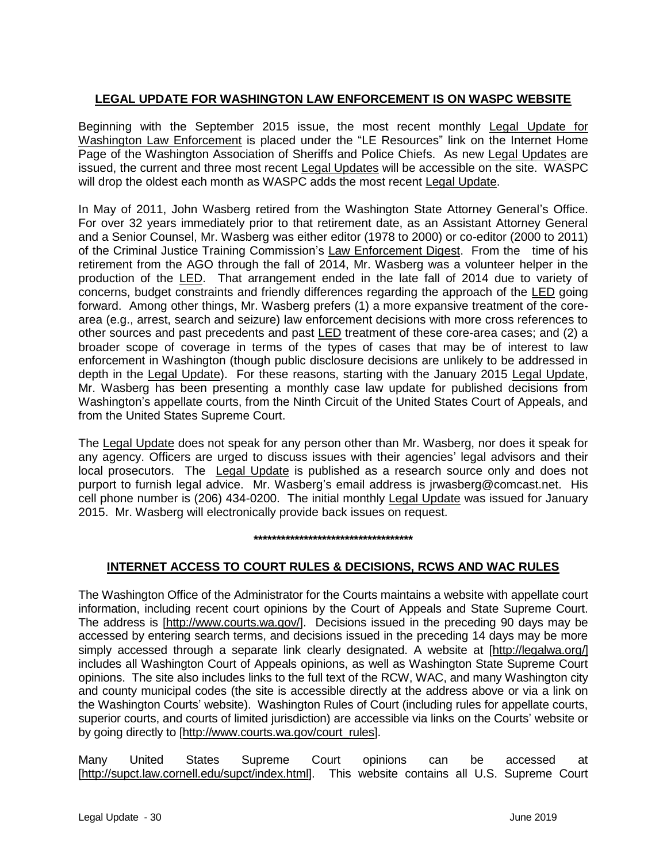# **LEGAL UPDATE FOR WASHINGTON LAW ENFORCEMENT IS ON WASPC WEBSITE**

Beginning with the September 2015 issue, the most recent monthly Legal Update for Washington Law Enforcement is placed under the "LE Resources" link on the Internet Home Page of the Washington Association of Sheriffs and Police Chiefs. As new Legal Updates are issued, the current and three most recent Legal Updates will be accessible on the site. WASPC will drop the oldest each month as WASPC adds the most recent Legal Update.

In May of 2011, John Wasberg retired from the Washington State Attorney General's Office. For over 32 years immediately prior to that retirement date, as an Assistant Attorney General and a Senior Counsel, Mr. Wasberg was either editor (1978 to 2000) or co-editor (2000 to 2011) of the Criminal Justice Training Commission's Law Enforcement Digest. From the time of his retirement from the AGO through the fall of 2014, Mr. Wasberg was a volunteer helper in the production of the LED. That arrangement ended in the late fall of 2014 due to variety of concerns, budget constraints and friendly differences regarding the approach of the LED going forward. Among other things, Mr. Wasberg prefers (1) a more expansive treatment of the corearea (e.g., arrest, search and seizure) law enforcement decisions with more cross references to other sources and past precedents and past LED treatment of these core-area cases; and (2) a broader scope of coverage in terms of the types of cases that may be of interest to law enforcement in Washington (though public disclosure decisions are unlikely to be addressed in depth in the Legal Update). For these reasons, starting with the January 2015 Legal Update, Mr. Wasberg has been presenting a monthly case law update for published decisions from Washington's appellate courts, from the Ninth Circuit of the United States Court of Appeals, and from the United States Supreme Court.

The Legal Update does not speak for any person other than Mr. Wasberg, nor does it speak for any agency. Officers are urged to discuss issues with their agencies' legal advisors and their local prosecutors. The Legal Update is published as a research source only and does not purport to furnish legal advice. Mr. Wasberg's email address is jrwasberg@comcast.net. His cell phone number is (206) 434-0200. The initial monthly Legal Update was issued for January 2015. Mr. Wasberg will electronically provide back issues on request.

#### **\*\*\*\*\*\*\*\*\*\*\*\*\*\*\*\*\*\*\*\*\*\*\*\*\*\*\*\*\*\*\*\*\*\*\***

# **INTERNET ACCESS TO COURT RULES & DECISIONS, RCWS AND WAC RULES**

The Washington Office of the Administrator for the Courts maintains a website with appellate court information, including recent court opinions by the Court of Appeals and State Supreme Court. The address is [http://www.courts.wa.gov/]. Decisions issued in the preceding 90 days may be accessed by entering search terms, and decisions issued in the preceding 14 days may be more simply accessed through a separate link clearly designated. A website at [http://legalwa.org/] includes all Washington Court of Appeals opinions, as well as Washington State Supreme Court opinions. The site also includes links to the full text of the RCW, WAC, and many Washington city and county municipal codes (the site is accessible directly at the address above or via a link on the Washington Courts' website). Washington Rules of Court (including rules for appellate courts, superior courts, and courts of limited jurisdiction) are accessible via links on the Courts' website or by going directly to [http://www.courts.wa.gov/court\_rules].

Many United States Supreme Court opinions can be accessed at [http://supct.law.cornell.edu/supct/index.html]. This website contains all U.S. Supreme Court